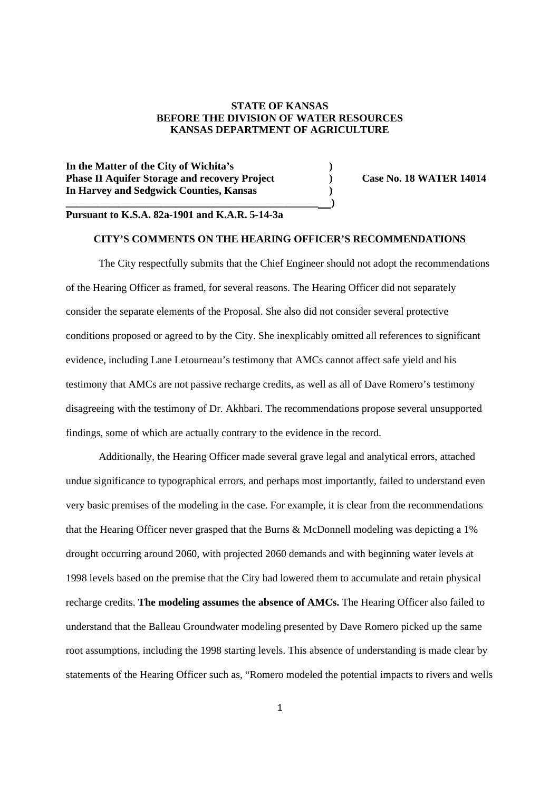# **STATE OF KANSAS BEFORE THE DIVISION OF WATER RESOURCES KANSAS DEPARTMENT OF AGRICULTURE**

**In the Matter of the City of Wichita's ) Phase II Aquifer Storage and recovery Project** (a) Case No. 18 WATER 14014 **In Harvey and Sedgwick Counties, Kansas )**

# **Pursuant to K.S.A. 82a-1901 and K.A.R. 5-14-3a**

**\_\_\_\_\_\_\_\_\_\_\_\_\_\_\_\_\_\_\_\_\_\_\_\_\_\_\_\_\_\_\_\_\_\_\_\_\_\_\_\_\_\_\_\_\_\_\_\_ )**

## **CITY'S COMMENTS ON THE HEARING OFFICER'S RECOMMENDATIONS**

The City respectfully submits that the Chief Engineer should not adopt the recommendations of the Hearing Officer as framed, for several reasons. The Hearing Officer did not separately consider the separate elements of the Proposal. She also did not consider several protective conditions proposed or agreed to by the City. She inexplicably omitted all references to significant evidence, including Lane Letourneau's testimony that AMCs cannot affect safe yield and his testimony that AMCs are not passive recharge credits, as well as all of Dave Romero's testimony disagreeing with the testimony of Dr. Akhbari. The recommendations propose several unsupported findings, some of which are actually contrary to the evidence in the record.

Additionally, the Hearing Officer made several grave legal and analytical errors, attached undue significance to typographical errors, and perhaps most importantly, failed to understand even very basic premises of the modeling in the case. For example, it is clear from the recommendations that the Hearing Officer never grasped that the Burns & McDonnell modeling was depicting a 1% drought occurring around 2060, with projected 2060 demands and with beginning water levels at 1998 levels based on the premise that the City had lowered them to accumulate and retain physical recharge credits. **The modeling assumes the absence of AMCs.** The Hearing Officer also failed to understand that the Balleau Groundwater modeling presented by Dave Romero picked up the same root assumptions, including the 1998 starting levels. This absence of understanding is made clear by statements of the Hearing Officer such as, "Romero modeled the potential impacts to rivers and wells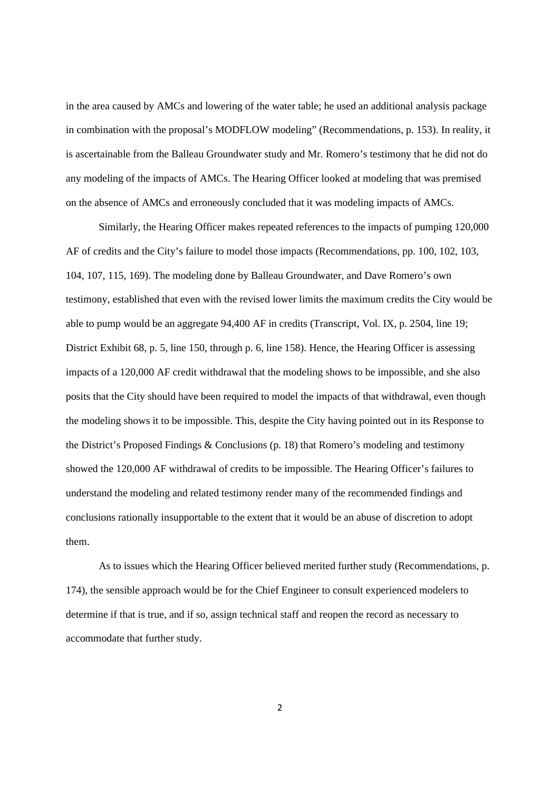in the area caused by AMCs and lowering of the water table; he used an additional analysis package in combination with the proposal's MODFLOW modeling" (Recommendations, p. 153). In reality, it is ascertainable from the Balleau Groundwater study and Mr. Romero's testimony that he did not do any modeling of the impacts of AMCs. The Hearing Officer looked at modeling that was premised on the absence of AMCs and erroneously concluded that it was modeling impacts of AMCs.

Similarly, the Hearing Officer makes repeated references to the impacts of pumping 120,000 AF of credits and the City's failure to model those impacts (Recommendations, pp. 100, 102, 103, 104, 107, 115, 169). The modeling done by Balleau Groundwater, and Dave Romero's own testimony, established that even with the revised lower limits the maximum credits the City would be able to pump would be an aggregate 94,400 AF in credits (Transcript, Vol. IX, p. 2504, line 19; District Exhibit 68, p. 5, line 150, through p. 6, line 158). Hence, the Hearing Officer is assessing impacts of a 120,000 AF credit withdrawal that the modeling shows to be impossible, and she also posits that the City should have been required to model the impacts of that withdrawal, even though the modeling shows it to be impossible. This, despite the City having pointed out in its Response to the District's Proposed Findings & Conclusions (p. 18) that Romero's modeling and testimony showed the 120,000 AF withdrawal of credits to be impossible. The Hearing Officer's failures to understand the modeling and related testimony render many of the recommended findings and conclusions rationally insupportable to the extent that it would be an abuse of discretion to adopt them.

As to issues which the Hearing Officer believed merited further study (Recommendations, p. 174), the sensible approach would be for the Chief Engineer to consult experienced modelers to determine if that is true, and if so, assign technical staff and reopen the record as necessary to accommodate that further study.

2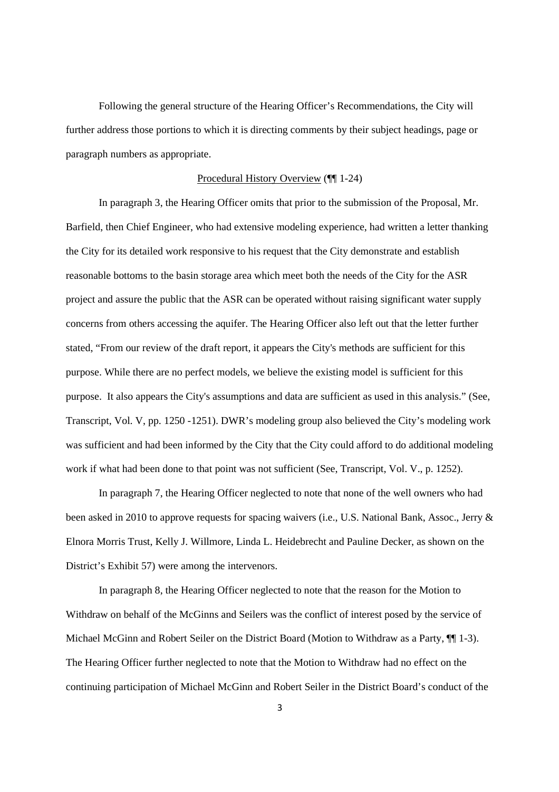Following the general structure of the Hearing Officer's Recommendations, the City will further address those portions to which it is directing comments by their subject headings, page or paragraph numbers as appropriate.

## Procedural History Overview (¶¶ 1-24)

In paragraph 3, the Hearing Officer omits that prior to the submission of the Proposal, Mr. Barfield, then Chief Engineer, who had extensive modeling experience, had written a letter thanking the City for its detailed work responsive to his request that the City demonstrate and establish reasonable bottoms to the basin storage area which meet both the needs of the City for the ASR project and assure the public that the ASR can be operated without raising significant water supply concerns from others accessing the aquifer. The Hearing Officer also left out that the letter further stated, "From our review of the draft report, it appears the City's methods are sufficient for this purpose. While there are no perfect models, we believe the existing model is sufficient for this purpose. It also appears the City's assumptions and data are sufficient as used in this analysis." (See, Transcript, Vol. V, pp. 1250 -1251). DWR's modeling group also believed the City's modeling work was sufficient and had been informed by the City that the City could afford to do additional modeling work if what had been done to that point was not sufficient (See, Transcript, Vol. V., p. 1252).

In paragraph 7, the Hearing Officer neglected to note that none of the well owners who had been asked in 2010 to approve requests for spacing waivers (i.e., U.S. National Bank, Assoc., Jerry & Elnora Morris Trust, Kelly J. Willmore, Linda L. Heidebrecht and Pauline Decker, as shown on the District's Exhibit 57) were among the intervenors.

In paragraph 8, the Hearing Officer neglected to note that the reason for the Motion to Withdraw on behalf of the McGinns and Seilers was the conflict of interest posed by the service of Michael McGinn and Robert Seiler on the District Board (Motion to Withdraw as a Party,  $\P$  1-3). The Hearing Officer further neglected to note that the Motion to Withdraw had no effect on the continuing participation of Michael McGinn and Robert Seiler in the District Board's conduct of the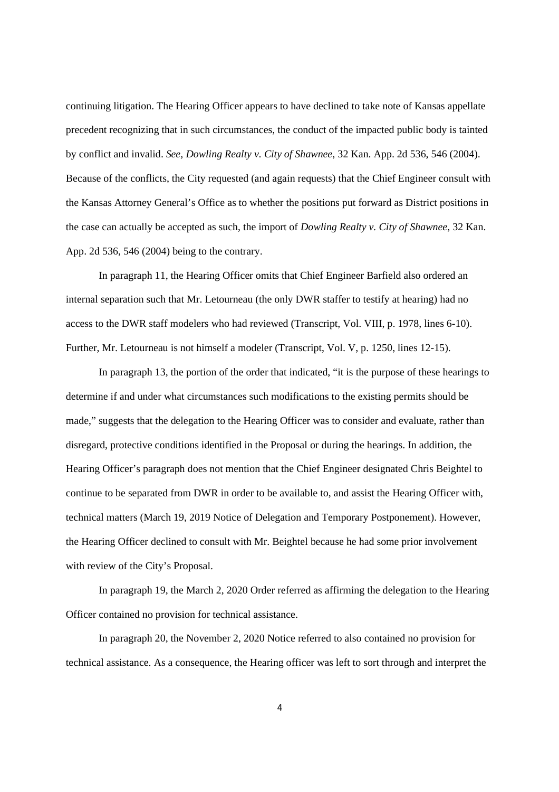continuing litigation. The Hearing Officer appears to have declined to take note of Kansas appellate precedent recognizing that in such circumstances, the conduct of the impacted public body is tainted by conflict and invalid. *See, Dowling Realty v. City of Shawnee*, 32 Kan. App. 2d 536, 546 (2004). Because of the conflicts, the City requested (and again requests) that the Chief Engineer consult with the Kansas Attorney General's Office as to whether the positions put forward as District positions in the case can actually be accepted as such, the import of *Dowling Realty v. City of Shawnee*, 32 Kan. App. 2d 536, 546 (2004) being to the contrary.

In paragraph 11, the Hearing Officer omits that Chief Engineer Barfield also ordered an internal separation such that Mr. Letourneau (the only DWR staffer to testify at hearing) had no access to the DWR staff modelers who had reviewed (Transcript, Vol. VIII, p. 1978, lines 6-10). Further, Mr. Letourneau is not himself a modeler (Transcript, Vol. V, p. 1250, lines 12-15).

In paragraph 13, the portion of the order that indicated, "it is the purpose of these hearings to determine if and under what circumstances such modifications to the existing permits should be made," suggests that the delegation to the Hearing Officer was to consider and evaluate, rather than disregard, protective conditions identified in the Proposal or during the hearings. In addition, the Hearing Officer's paragraph does not mention that the Chief Engineer designated Chris Beightel to continue to be separated from DWR in order to be available to, and assist the Hearing Officer with, technical matters (March 19, 2019 Notice of Delegation and Temporary Postponement). However, the Hearing Officer declined to consult with Mr. Beightel because he had some prior involvement with review of the City's Proposal.

In paragraph 19, the March 2, 2020 Order referred as affirming the delegation to the Hearing Officer contained no provision for technical assistance.

In paragraph 20, the November 2, 2020 Notice referred to also contained no provision for technical assistance. As a consequence, the Hearing officer was left to sort through and interpret the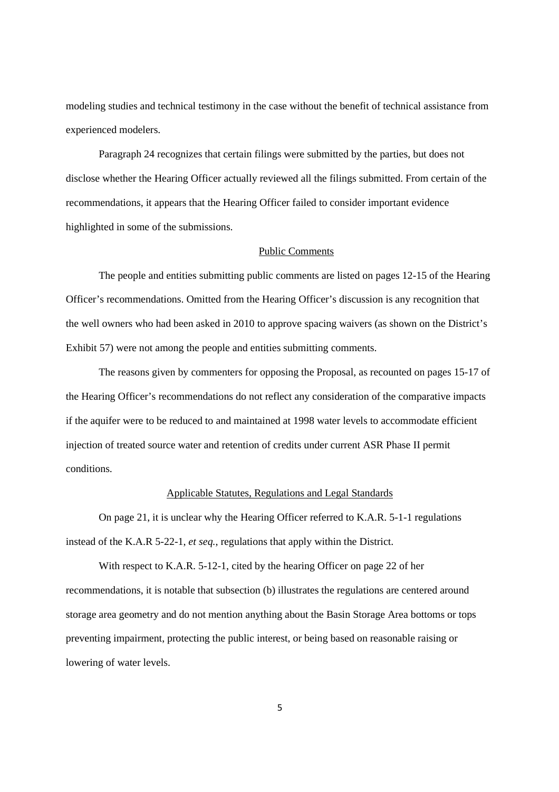modeling studies and technical testimony in the case without the benefit of technical assistance from experienced modelers.

Paragraph 24 recognizes that certain filings were submitted by the parties, but does not disclose whether the Hearing Officer actually reviewed all the filings submitted. From certain of the recommendations, it appears that the Hearing Officer failed to consider important evidence highlighted in some of the submissions.

## Public Comments

The people and entities submitting public comments are listed on pages 12-15 of the Hearing Officer's recommendations. Omitted from the Hearing Officer's discussion is any recognition that the well owners who had been asked in 2010 to approve spacing waivers (as shown on the District's Exhibit 57) were not among the people and entities submitting comments.

The reasons given by commenters for opposing the Proposal, as recounted on pages 15-17 of the Hearing Officer's recommendations do not reflect any consideration of the comparative impacts if the aquifer were to be reduced to and maintained at 1998 water levels to accommodate efficient injection of treated source water and retention of credits under current ASR Phase II permit conditions.

# Applicable Statutes, Regulations and Legal Standards

On page 21, it is unclear why the Hearing Officer referred to K.A.R. 5-1-1 regulations instead of the K.A.R 5-22-1, *et seq.*, regulations that apply within the District.

With respect to K.A.R. 5-12-1, cited by the hearing Officer on page 22 of her recommendations, it is notable that subsection (b) illustrates the regulations are centered around storage area geometry and do not mention anything about the Basin Storage Area bottoms or tops preventing impairment, protecting the public interest, or being based on reasonable raising or lowering of water levels.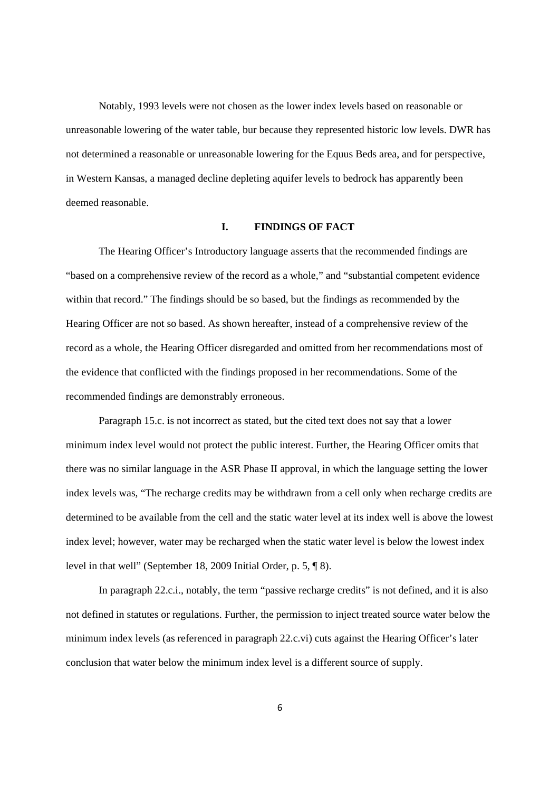Notably, 1993 levels were not chosen as the lower index levels based on reasonable or unreasonable lowering of the water table, bur because they represented historic low levels. DWR has not determined a reasonable or unreasonable lowering for the Equus Beds area, and for perspective, in Western Kansas, a managed decline depleting aquifer levels to bedrock has apparently been deemed reasonable.

#### **I. FINDINGS OF FACT**

The Hearing Officer's Introductory language asserts that the recommended findings are "based on a comprehensive review of the record as a whole," and "substantial competent evidence within that record." The findings should be so based, but the findings as recommended by the Hearing Officer are not so based. As shown hereafter, instead of a comprehensive review of the record as a whole, the Hearing Officer disregarded and omitted from her recommendations most of the evidence that conflicted with the findings proposed in her recommendations. Some of the recommended findings are demonstrably erroneous.

Paragraph 15.c. is not incorrect as stated, but the cited text does not say that a lower minimum index level would not protect the public interest. Further, the Hearing Officer omits that there was no similar language in the ASR Phase II approval, in which the language setting the lower index levels was, "The recharge credits may be withdrawn from a cell only when recharge credits are determined to be available from the cell and the static water level at its index well is above the lowest index level; however, water may be recharged when the static water level is below the lowest index level in that well" (September 18, 2009 Initial Order, p. 5, ¶ 8).

In paragraph 22.c.i., notably, the term "passive recharge credits" is not defined, and it is also not defined in statutes or regulations. Further, the permission to inject treated source water below the minimum index levels (as referenced in paragraph 22.c.vi) cuts against the Hearing Officer's later conclusion that water below the minimum index level is a different source of supply.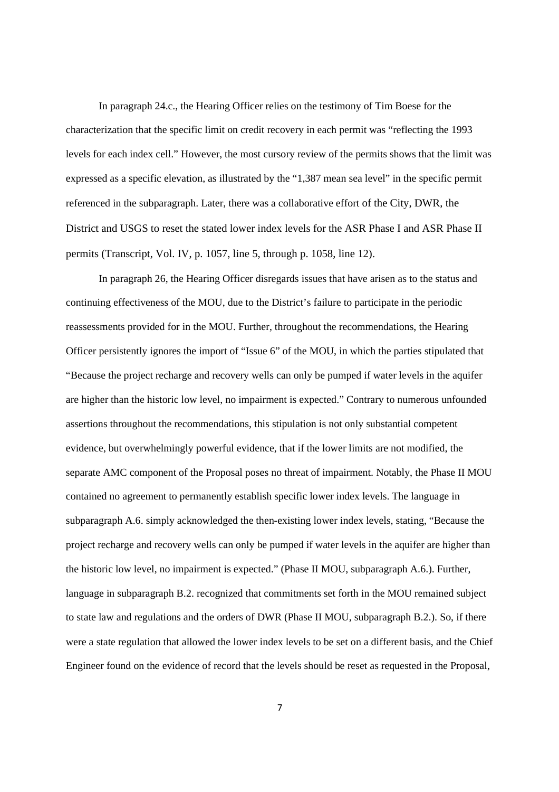In paragraph 24.c., the Hearing Officer relies on the testimony of Tim Boese for the characterization that the specific limit on credit recovery in each permit was "reflecting the 1993 levels for each index cell." However, the most cursory review of the permits shows that the limit was expressed as a specific elevation, as illustrated by the "1,387 mean sea level" in the specific permit referenced in the subparagraph. Later, there was a collaborative effort of the City, DWR, the District and USGS to reset the stated lower index levels for the ASR Phase I and ASR Phase II permits (Transcript, Vol. IV, p. 1057, line 5, through p. 1058, line 12).

In paragraph 26, the Hearing Officer disregards issues that have arisen as to the status and continuing effectiveness of the MOU, due to the District's failure to participate in the periodic reassessments provided for in the MOU. Further, throughout the recommendations, the Hearing Officer persistently ignores the import of "Issue 6" of the MOU, in which the parties stipulated that "Because the project recharge and recovery wells can only be pumped if water levels in the aquifer are higher than the historic low level, no impairment is expected." Contrary to numerous unfounded assertions throughout the recommendations, this stipulation is not only substantial competent evidence, but overwhelmingly powerful evidence, that if the lower limits are not modified, the separate AMC component of the Proposal poses no threat of impairment. Notably, the Phase II MOU contained no agreement to permanently establish specific lower index levels. The language in subparagraph A.6. simply acknowledged the then-existing lower index levels, stating, "Because the project recharge and recovery wells can only be pumped if water levels in the aquifer are higher than the historic low level, no impairment is expected." (Phase II MOU, subparagraph A.6.). Further, language in subparagraph B.2. recognized that commitments set forth in the MOU remained subject to state law and regulations and the orders of DWR (Phase II MOU, subparagraph B.2.). So, if there were a state regulation that allowed the lower index levels to be set on a different basis, and the Chief Engineer found on the evidence of record that the levels should be reset as requested in the Proposal,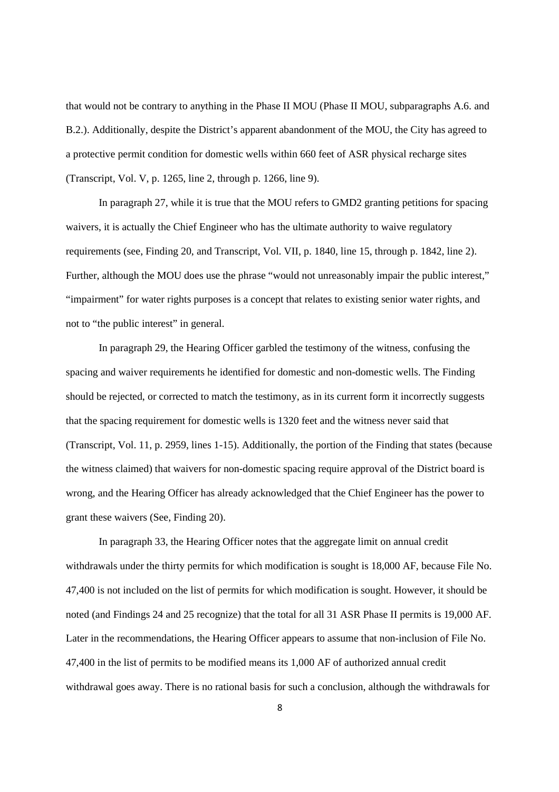that would not be contrary to anything in the Phase II MOU (Phase II MOU, subparagraphs A.6. and B.2.). Additionally, despite the District's apparent abandonment of the MOU, the City has agreed to a protective permit condition for domestic wells within 660 feet of ASR physical recharge sites (Transcript, Vol. V, p. 1265, line 2, through p. 1266, line 9).

In paragraph 27, while it is true that the MOU refers to GMD2 granting petitions for spacing waivers, it is actually the Chief Engineer who has the ultimate authority to waive regulatory requirements (see, Finding 20, and Transcript, Vol. VII, p. 1840, line 15, through p. 1842, line 2). Further, although the MOU does use the phrase "would not unreasonably impair the public interest," "impairment" for water rights purposes is a concept that relates to existing senior water rights, and not to "the public interest" in general.

In paragraph 29, the Hearing Officer garbled the testimony of the witness, confusing the spacing and waiver requirements he identified for domestic and non-domestic wells. The Finding should be rejected, or corrected to match the testimony, as in its current form it incorrectly suggests that the spacing requirement for domestic wells is 1320 feet and the witness never said that (Transcript, Vol. 11, p. 2959, lines 1-15). Additionally, the portion of the Finding that states (because the witness claimed) that waivers for non-domestic spacing require approval of the District board is wrong, and the Hearing Officer has already acknowledged that the Chief Engineer has the power to grant these waivers (See, Finding 20).

In paragraph 33, the Hearing Officer notes that the aggregate limit on annual credit withdrawals under the thirty permits for which modification is sought is 18,000 AF, because File No. 47,400 is not included on the list of permits for which modification is sought. However, it should be noted (and Findings 24 and 25 recognize) that the total for all 31 ASR Phase II permits is 19,000 AF. Later in the recommendations, the Hearing Officer appears to assume that non-inclusion of File No. 47,400 in the list of permits to be modified means its 1,000 AF of authorized annual credit withdrawal goes away. There is no rational basis for such a conclusion, although the withdrawals for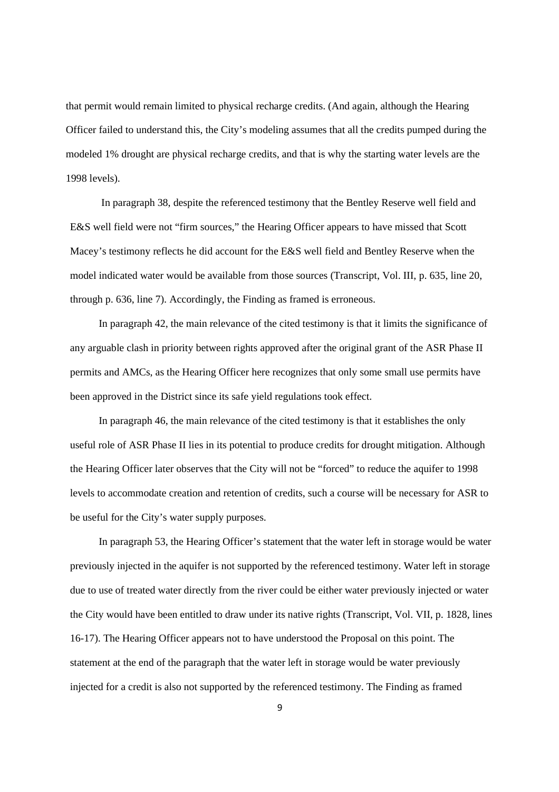that permit would remain limited to physical recharge credits. (And again, although the Hearing Officer failed to understand this, the City's modeling assumes that all the credits pumped during the modeled 1% drought are physical recharge credits, and that is why the starting water levels are the 1998 levels).

In paragraph 38, despite the referenced testimony that the Bentley Reserve well field and E&S well field were not "firm sources," the Hearing Officer appears to have missed that Scott Macey's testimony reflects he did account for the E&S well field and Bentley Reserve when the model indicated water would be available from those sources (Transcript, Vol. III, p. 635, line 20, through p. 636, line 7). Accordingly, the Finding as framed is erroneous.

In paragraph 42, the main relevance of the cited testimony is that it limits the significance of any arguable clash in priority between rights approved after the original grant of the ASR Phase II permits and AMCs, as the Hearing Officer here recognizes that only some small use permits have been approved in the District since its safe yield regulations took effect.

In paragraph 46, the main relevance of the cited testimony is that it establishes the only useful role of ASR Phase II lies in its potential to produce credits for drought mitigation. Although the Hearing Officer later observes that the City will not be "forced" to reduce the aquifer to 1998 levels to accommodate creation and retention of credits, such a course will be necessary for ASR to be useful for the City's water supply purposes.

In paragraph 53, the Hearing Officer's statement that the water left in storage would be water previously injected in the aquifer is not supported by the referenced testimony. Water left in storage due to use of treated water directly from the river could be either water previously injected or water the City would have been entitled to draw under its native rights (Transcript, Vol. VII, p. 1828, lines 16-17). The Hearing Officer appears not to have understood the Proposal on this point. The statement at the end of the paragraph that the water left in storage would be water previously injected for a credit is also not supported by the referenced testimony. The Finding as framed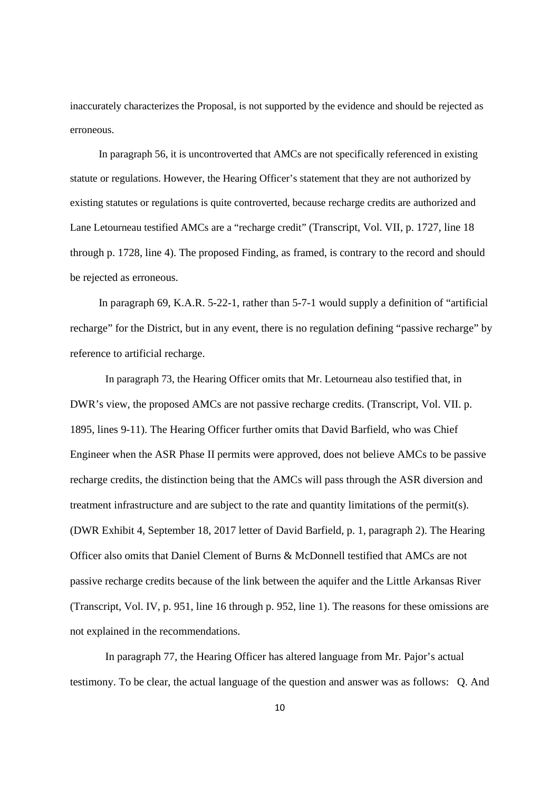inaccurately characterizes the Proposal, is not supported by the evidence and should be rejected as erroneous.

In paragraph 56, it is uncontroverted that AMCs are not specifically referenced in existing statute or regulations. However, the Hearing Officer's statement that they are not authorized by existing statutes or regulations is quite controverted, because recharge credits are authorized and Lane Letourneau testified AMCs are a "recharge credit" (Transcript, Vol. VII, p. 1727, line 18 through p. 1728, line 4). The proposed Finding, as framed, is contrary to the record and should be rejected as erroneous.

In paragraph 69, K.A.R. 5-22-1, rather than 5-7-1 would supply a definition of "artificial recharge" for the District, but in any event, there is no regulation defining "passive recharge" by reference to artificial recharge.

In paragraph 73, the Hearing Officer omits that Mr. Letourneau also testified that, in DWR's view, the proposed AMCs are not passive recharge credits. (Transcript, Vol. VII. p. 1895, lines 9-11). The Hearing Officer further omits that David Barfield, who was Chief Engineer when the ASR Phase II permits were approved, does not believe AMCs to be passive recharge credits, the distinction being that the AMCs will pass through the ASR diversion and treatment infrastructure and are subject to the rate and quantity limitations of the permit(s). (DWR Exhibit 4, September 18, 2017 letter of David Barfield, p. 1, paragraph 2). The Hearing Officer also omits that Daniel Clement of Burns & McDonnell testified that AMCs are not passive recharge credits because of the link between the aquifer and the Little Arkansas River (Transcript, Vol. IV, p. 951, line 16 through p. 952, line 1). The reasons for these omissions are not explained in the recommendations.

In paragraph 77, the Hearing Officer has altered language from Mr. Pajor's actual testimony. To be clear, the actual language of the question and answer was as follows: Q. And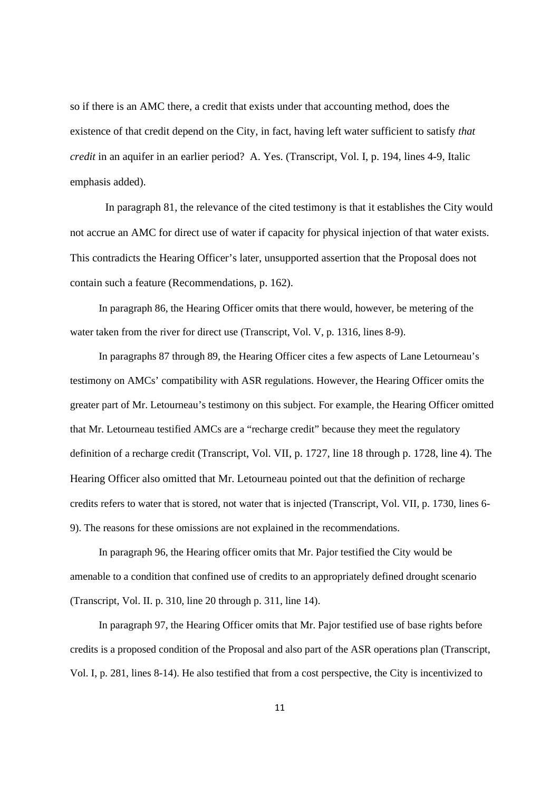so if there is an AMC there, a credit that exists under that accounting method, does the existence of that credit depend on the City, in fact, having left water sufficient to satisfy *that credit* in an aquifer in an earlier period? A. Yes. (Transcript, Vol. I, p. 194, lines 4-9, Italic emphasis added).

In paragraph 81, the relevance of the cited testimony is that it establishes the City would not accrue an AMC for direct use of water if capacity for physical injection of that water exists. This contradicts the Hearing Officer's later, unsupported assertion that the Proposal does not contain such a feature (Recommendations, p. 162).

In paragraph 86, the Hearing Officer omits that there would, however, be metering of the water taken from the river for direct use (Transcript, Vol. V, p. 1316, lines 8-9).

In paragraphs 87 through 89, the Hearing Officer cites a few aspects of Lane Letourneau's testimony on AMCs' compatibility with ASR regulations. However, the Hearing Officer omits the greater part of Mr. Letourneau's testimony on this subject. For example, the Hearing Officer omitted that Mr. Letourneau testified AMCs are a "recharge credit" because they meet the regulatory definition of a recharge credit (Transcript, Vol. VII, p. 1727, line 18 through p. 1728, line 4). The Hearing Officer also omitted that Mr. Letourneau pointed out that the definition of recharge credits refers to water that is stored, not water that is injected (Transcript, Vol. VII, p. 1730, lines 6- 9). The reasons for these omissions are not explained in the recommendations.

In paragraph 96, the Hearing officer omits that Mr. Pajor testified the City would be amenable to a condition that confined use of credits to an appropriately defined drought scenario (Transcript, Vol. II. p. 310, line 20 through p. 311, line 14).

In paragraph 97, the Hearing Officer omits that Mr. Pajor testified use of base rights before credits is a proposed condition of the Proposal and also part of the ASR operations plan (Transcript, Vol. I, p. 281, lines 8-14). He also testified that from a cost perspective, the City is incentivized to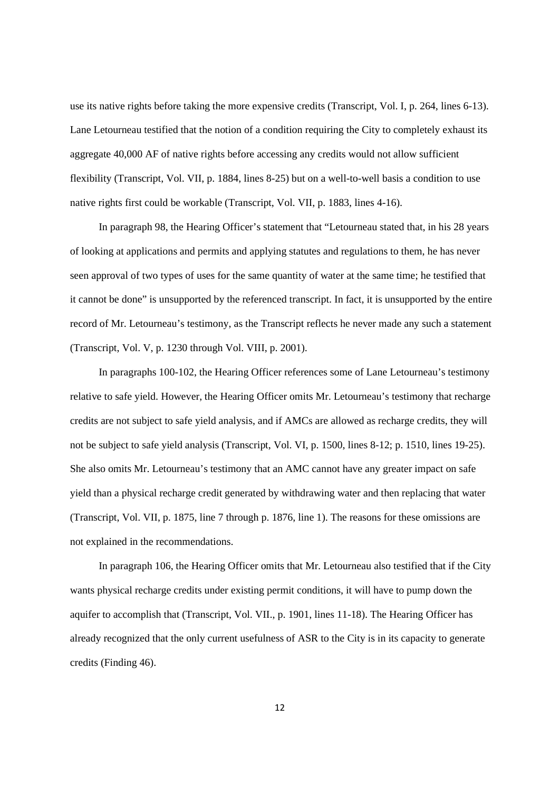use its native rights before taking the more expensive credits (Transcript, Vol. I, p. 264, lines 6-13). Lane Letourneau testified that the notion of a condition requiring the City to completely exhaust its aggregate 40,000 AF of native rights before accessing any credits would not allow sufficient flexibility (Transcript, Vol. VII, p. 1884, lines 8-25) but on a well-to-well basis a condition to use native rights first could be workable (Transcript, Vol. VII, p. 1883, lines 4-16).

In paragraph 98, the Hearing Officer's statement that "Letourneau stated that, in his 28 years of looking at applications and permits and applying statutes and regulations to them, he has never seen approval of two types of uses for the same quantity of water at the same time; he testified that it cannot be done" is unsupported by the referenced transcript. In fact, it is unsupported by the entire record of Mr. Letourneau's testimony, as the Transcript reflects he never made any such a statement (Transcript, Vol. V, p. 1230 through Vol. VIII, p. 2001).

In paragraphs 100-102, the Hearing Officer references some of Lane Letourneau's testimony relative to safe yield. However, the Hearing Officer omits Mr. Letourneau's testimony that recharge credits are not subject to safe yield analysis, and if AMCs are allowed as recharge credits, they will not be subject to safe yield analysis (Transcript, Vol. VI, p. 1500, lines 8-12; p. 1510, lines 19-25). She also omits Mr. Letourneau's testimony that an AMC cannot have any greater impact on safe yield than a physical recharge credit generated by withdrawing water and then replacing that water (Transcript, Vol. VII, p. 1875, line 7 through p. 1876, line 1). The reasons for these omissions are not explained in the recommendations.

In paragraph 106, the Hearing Officer omits that Mr. Letourneau also testified that if the City wants physical recharge credits under existing permit conditions, it will have to pump down the aquifer to accomplish that (Transcript, Vol. VII., p. 1901, lines 11-18). The Hearing Officer has already recognized that the only current usefulness of ASR to the City is in its capacity to generate credits (Finding 46).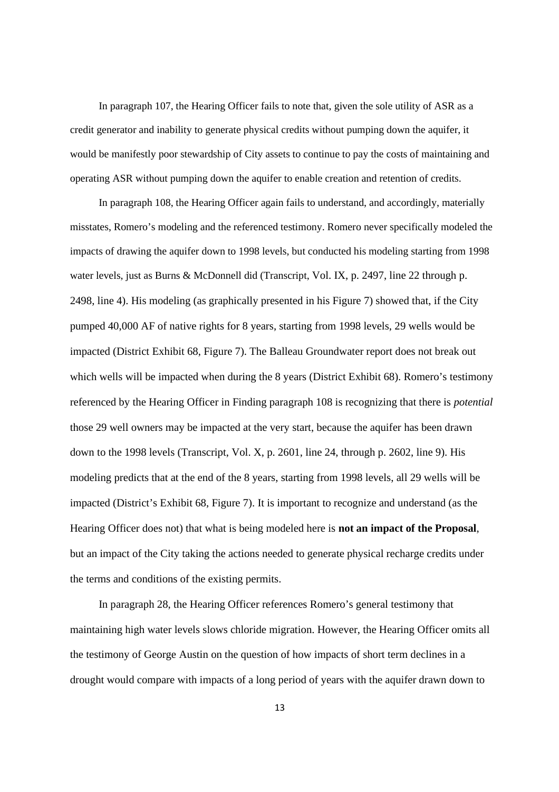In paragraph 107, the Hearing Officer fails to note that, given the sole utility of ASR as a credit generator and inability to generate physical credits without pumping down the aquifer, it would be manifestly poor stewardship of City assets to continue to pay the costs of maintaining and operating ASR without pumping down the aquifer to enable creation and retention of credits.

In paragraph 108, the Hearing Officer again fails to understand, and accordingly, materially misstates, Romero's modeling and the referenced testimony. Romero never specifically modeled the impacts of drawing the aquifer down to 1998 levels, but conducted his modeling starting from 1998 water levels, just as Burns & McDonnell did (Transcript, Vol. IX, p. 2497, line 22 through p. 2498, line 4). His modeling (as graphically presented in his Figure 7) showed that, if the City pumped 40,000 AF of native rights for 8 years, starting from 1998 levels, 29 wells would be impacted (District Exhibit 68, Figure 7). The Balleau Groundwater report does not break out which wells will be impacted when during the 8 years (District Exhibit 68). Romero's testimony referenced by the Hearing Officer in Finding paragraph 108 is recognizing that there is *potential* those 29 well owners may be impacted at the very start, because the aquifer has been drawn down to the 1998 levels (Transcript, Vol. X, p. 2601, line 24, through p. 2602, line 9). His modeling predicts that at the end of the 8 years, starting from 1998 levels, all 29 wells will be impacted (District's Exhibit 68, Figure 7). It is important to recognize and understand (as the Hearing Officer does not) that what is being modeled here is **not an impact of the Proposal**, but an impact of the City taking the actions needed to generate physical recharge credits under the terms and conditions of the existing permits.

In paragraph 28, the Hearing Officer references Romero's general testimony that maintaining high water levels slows chloride migration. However, the Hearing Officer omits all the testimony of George Austin on the question of how impacts of short term declines in a drought would compare with impacts of a long period of years with the aquifer drawn down to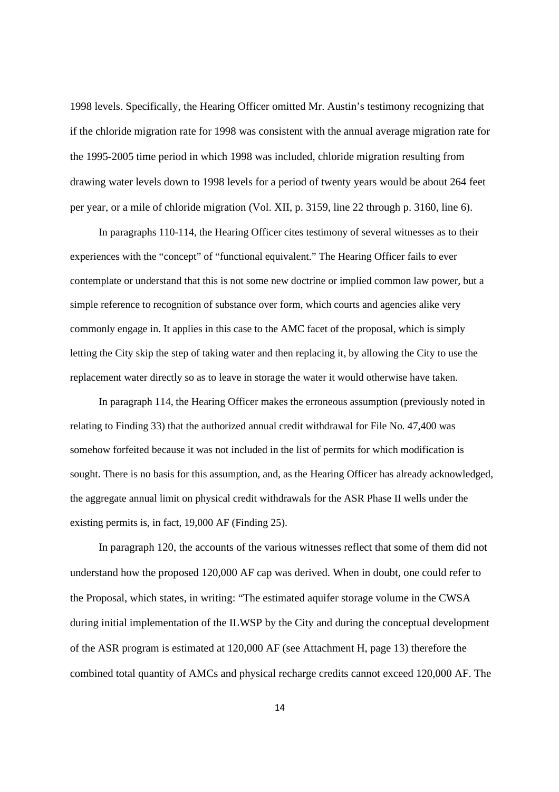1998 levels. Specifically, the Hearing Officer omitted Mr. Austin's testimony recognizing that if the chloride migration rate for 1998 was consistent with the annual average migration rate for the 1995-2005 time period in which 1998 was included, chloride migration resulting from drawing water levels down to 1998 levels for a period of twenty years would be about 264 feet per year, or a mile of chloride migration (Vol. XII, p. 3159, line 22 through p. 3160, line 6).

In paragraphs 110-114, the Hearing Officer cites testimony of several witnesses as to their experiences with the "concept" of "functional equivalent." The Hearing Officer fails to ever contemplate or understand that this is not some new doctrine or implied common law power, but a simple reference to recognition of substance over form, which courts and agencies alike very commonly engage in. It applies in this case to the AMC facet of the proposal, which is simply letting the City skip the step of taking water and then replacing it, by allowing the City to use the replacement water directly so as to leave in storage the water it would otherwise have taken.

In paragraph 114, the Hearing Officer makes the erroneous assumption (previously noted in relating to Finding 33) that the authorized annual credit withdrawal for File No. 47,400 was somehow forfeited because it was not included in the list of permits for which modification is sought. There is no basis for this assumption, and, as the Hearing Officer has already acknowledged, the aggregate annual limit on physical credit withdrawals for the ASR Phase II wells under the existing permits is, in fact, 19,000 AF (Finding 25).

In paragraph 120, the accounts of the various witnesses reflect that some of them did not understand how the proposed 120,000 AF cap was derived. When in doubt, one could refer to the Proposal, which states, in writing: "The estimated aquifer storage volume in the CWSA during initial implementation of the ILWSP by the City and during the conceptual development of the ASR program is estimated at 120,000 AF (see Attachment H, page 13) therefore the combined total quantity of AMCs and physical recharge credits cannot exceed 120,000 AF. The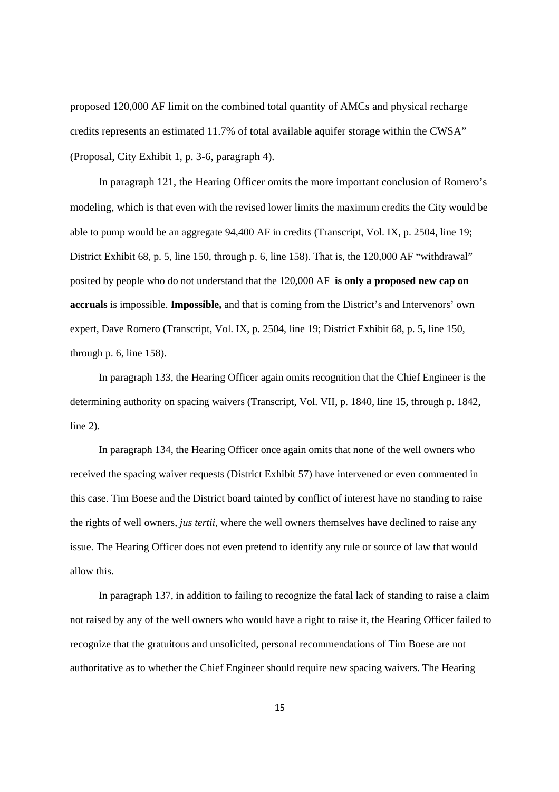proposed 120,000 AF limit on the combined total quantity of AMCs and physical recharge credits represents an estimated 11.7% of total available aquifer storage within the CWSA" (Proposal, City Exhibit 1, p. 3-6, paragraph 4).

In paragraph 121, the Hearing Officer omits the more important conclusion of Romero's modeling, which is that even with the revised lower limits the maximum credits the City would be able to pump would be an aggregate 94,400 AF in credits (Transcript, Vol. IX, p. 2504, line 19; District Exhibit 68, p. 5, line 150, through p. 6, line 158). That is, the 120,000 AF "withdrawal" posited by people who do not understand that the 120,000 AF **is only a proposed new cap on accruals** is impossible. **Impossible,** and that is coming from the District's and Intervenors' own expert, Dave Romero (Transcript, Vol. IX, p. 2504, line 19; District Exhibit 68, p. 5, line 150, through p. 6, line 158).

In paragraph 133, the Hearing Officer again omits recognition that the Chief Engineer is the determining authority on spacing waivers (Transcript, Vol. VII, p. 1840, line 15, through p. 1842, line 2).

In paragraph 134, the Hearing Officer once again omits that none of the well owners who received the spacing waiver requests (District Exhibit 57) have intervened or even commented in this case. Tim Boese and the District board tainted by conflict of interest have no standing to raise the rights of well owners, *jus tertii,* where the well owners themselves have declined to raise any issue. The Hearing Officer does not even pretend to identify any rule or source of law that would allow this.

In paragraph 137, in addition to failing to recognize the fatal lack of standing to raise a claim not raised by any of the well owners who would have a right to raise it, the Hearing Officer failed to recognize that the gratuitous and unsolicited, personal recommendations of Tim Boese are not authoritative as to whether the Chief Engineer should require new spacing waivers. The Hearing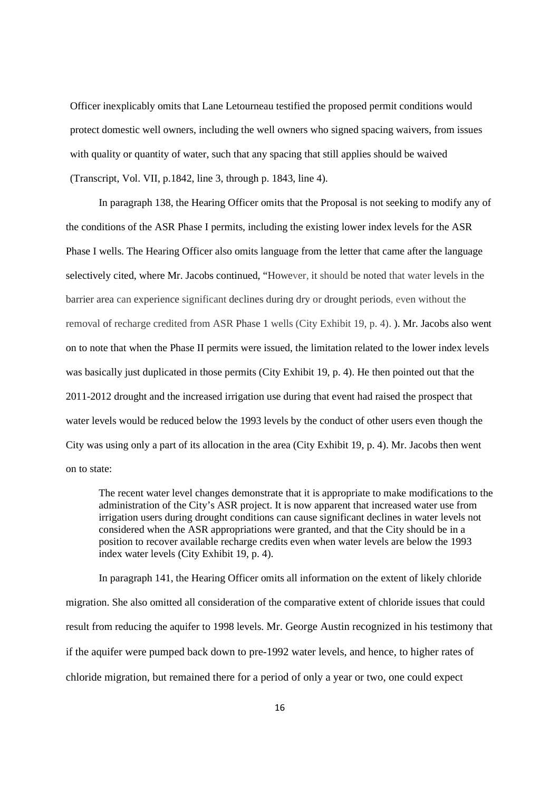Officer inexplicably omits that Lane Letourneau testified the proposed permit conditions would protect domestic well owners, including the well owners who signed spacing waivers, from issues with quality or quantity of water, such that any spacing that still applies should be waived (Transcript, Vol. VII, p.1842, line 3, through p. 1843, line 4).

In paragraph 138, the Hearing Officer omits that the Proposal is not seeking to modify any of the conditions of the ASR Phase I permits, including the existing lower index levels for the ASR Phase I wells. The Hearing Officer also omits language from the letter that came after the language selectively cited, where Mr. Jacobs continued, "However, it should be noted that water levels in the barrier area can experience significant declines during dry or drought periods, even without the removal of recharge credited from ASR Phase 1 wells (City Exhibit 19, p. 4). ). Mr. Jacobs also went on to note that when the Phase II permits were issued, the limitation related to the lower index levels was basically just duplicated in those permits (City Exhibit 19, p. 4). He then pointed out that the 2011-2012 drought and the increased irrigation use during that event had raised the prospect that water levels would be reduced below the 1993 levels by the conduct of other users even though the City was using only a part of its allocation in the area (City Exhibit 19, p. 4). Mr. Jacobs then went on to state:

The recent water level changes demonstrate that it is appropriate to make modifications to the administration of the City's ASR project. It is now apparent that increased water use from irrigation users during drought conditions can cause significant declines in water levels not considered when the ASR appropriations were granted, and that the City should be in a position to recover available recharge credits even when water levels are below the 1993 index water levels (City Exhibit 19, p. 4).

In paragraph 141, the Hearing Officer omits all information on the extent of likely chloride migration. She also omitted all consideration of the comparative extent of chloride issues that could result from reducing the aquifer to 1998 levels. Mr. George Austin recognized in his testimony that if the aquifer were pumped back down to pre-1992 water levels, and hence, to higher rates of chloride migration, but remained there for a period of only a year or two, one could expect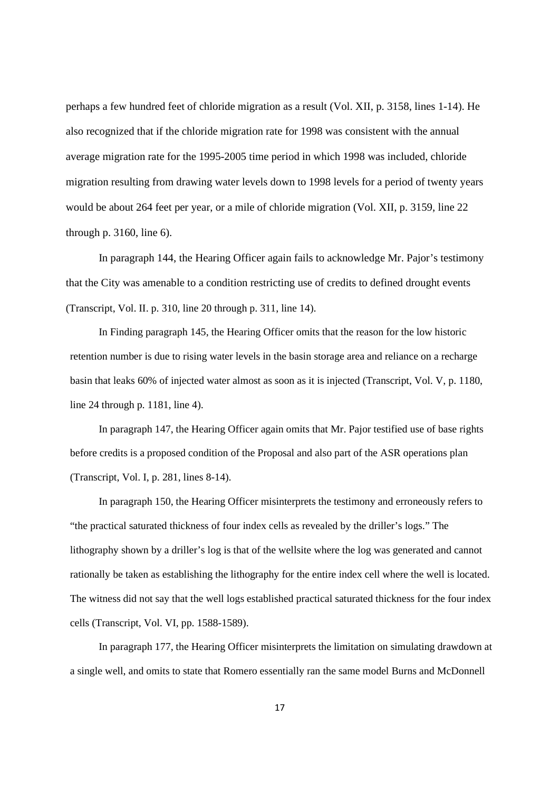perhaps a few hundred feet of chloride migration as a result (Vol. XII, p. 3158, lines 1-14). He also recognized that if the chloride migration rate for 1998 was consistent with the annual average migration rate for the 1995-2005 time period in which 1998 was included, chloride migration resulting from drawing water levels down to 1998 levels for a period of twenty years would be about 264 feet per year, or a mile of chloride migration (Vol. XII, p. 3159, line 22 through p. 3160, line 6).

In paragraph 144, the Hearing Officer again fails to acknowledge Mr. Pajor's testimony that the City was amenable to a condition restricting use of credits to defined drought events (Transcript, Vol. II. p. 310, line 20 through p. 311, line 14).

In Finding paragraph 145, the Hearing Officer omits that the reason for the low historic retention number is due to rising water levels in the basin storage area and reliance on a recharge basin that leaks 60% of injected water almost as soon as it is injected (Transcript, Vol. V, p. 1180, line 24 through p. 1181, line 4).

In paragraph 147, the Hearing Officer again omits that Mr. Pajor testified use of base rights before credits is a proposed condition of the Proposal and also part of the ASR operations plan (Transcript, Vol. I, p. 281, lines 8-14).

In paragraph 150, the Hearing Officer misinterprets the testimony and erroneously refers to "the practical saturated thickness of four index cells as revealed by the driller's logs." The lithography shown by a driller's log is that of the wellsite where the log was generated and cannot rationally be taken as establishing the lithography for the entire index cell where the well is located. The witness did not say that the well logs established practical saturated thickness for the four index cells (Transcript, Vol. VI, pp. 1588-1589).

In paragraph 177, the Hearing Officer misinterprets the limitation on simulating drawdown at a single well, and omits to state that Romero essentially ran the same model Burns and McDonnell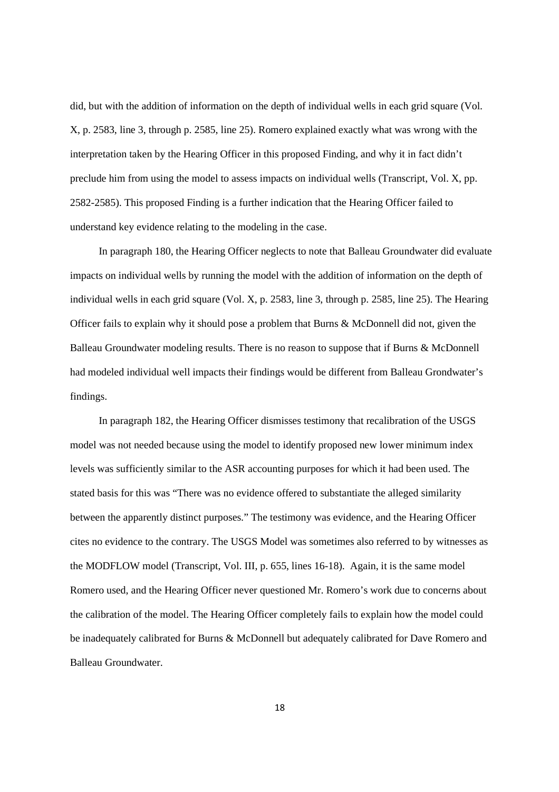did, but with the addition of information on the depth of individual wells in each grid square (Vol. X, p. 2583, line 3, through p. 2585, line 25). Romero explained exactly what was wrong with the interpretation taken by the Hearing Officer in this proposed Finding, and why it in fact didn't preclude him from using the model to assess impacts on individual wells (Transcript, Vol. X, pp. 2582-2585). This proposed Finding is a further indication that the Hearing Officer failed to understand key evidence relating to the modeling in the case.

In paragraph 180, the Hearing Officer neglects to note that Balleau Groundwater did evaluate impacts on individual wells by running the model with the addition of information on the depth of individual wells in each grid square (Vol. X, p. 2583, line 3, through p. 2585, line 25). The Hearing Officer fails to explain why it should pose a problem that Burns & McDonnell did not, given the Balleau Groundwater modeling results. There is no reason to suppose that if Burns & McDonnell had modeled individual well impacts their findings would be different from Balleau Grondwater's findings.

In paragraph 182, the Hearing Officer dismisses testimony that recalibration of the USGS model was not needed because using the model to identify proposed new lower minimum index levels was sufficiently similar to the ASR accounting purposes for which it had been used. The stated basis for this was "There was no evidence offered to substantiate the alleged similarity between the apparently distinct purposes." The testimony was evidence, and the Hearing Officer cites no evidence to the contrary. The USGS Model was sometimes also referred to by witnesses as the MODFLOW model (Transcript, Vol. III, p. 655, lines 16-18). Again, it is the same model Romero used, and the Hearing Officer never questioned Mr. Romero's work due to concerns about the calibration of the model. The Hearing Officer completely fails to explain how the model could be inadequately calibrated for Burns & McDonnell but adequately calibrated for Dave Romero and Balleau Groundwater.

18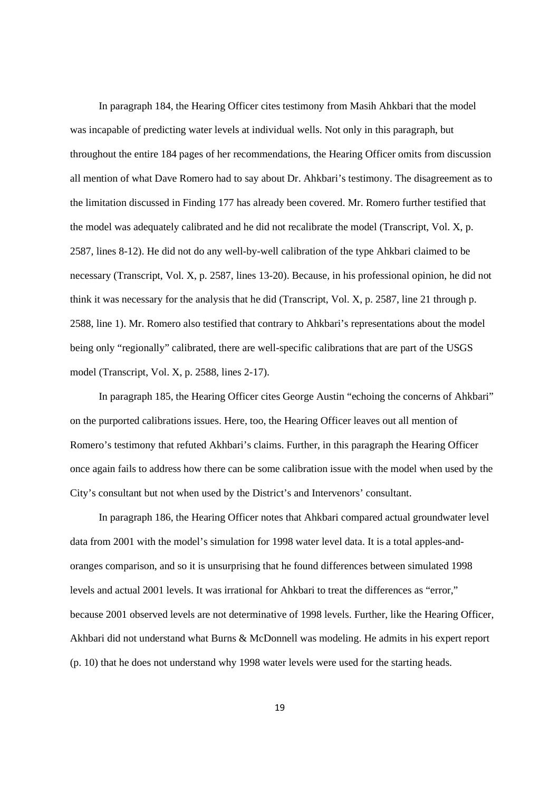In paragraph 184, the Hearing Officer cites testimony from Masih Ahkbari that the model was incapable of predicting water levels at individual wells. Not only in this paragraph, but throughout the entire 184 pages of her recommendations, the Hearing Officer omits from discussion all mention of what Dave Romero had to say about Dr. Ahkbari's testimony. The disagreement as to the limitation discussed in Finding 177 has already been covered. Mr. Romero further testified that the model was adequately calibrated and he did not recalibrate the model (Transcript, Vol. X, p. 2587, lines 8-12). He did not do any well-by-well calibration of the type Ahkbari claimed to be necessary (Transcript, Vol. X, p. 2587, lines 13-20). Because, in his professional opinion, he did not think it was necessary for the analysis that he did (Transcript, Vol. X, p. 2587, line 21 through p. 2588, line 1). Mr. Romero also testified that contrary to Ahkbari's representations about the model being only "regionally" calibrated, there are well-specific calibrations that are part of the USGS model (Transcript, Vol. X, p. 2588, lines 2-17).

In paragraph 185, the Hearing Officer cites George Austin "echoing the concerns of Ahkbari" on the purported calibrations issues. Here, too, the Hearing Officer leaves out all mention of Romero's testimony that refuted Akhbari's claims. Further, in this paragraph the Hearing Officer once again fails to address how there can be some calibration issue with the model when used by the City's consultant but not when used by the District's and Intervenors' consultant.

In paragraph 186, the Hearing Officer notes that Ahkbari compared actual groundwater level data from 2001 with the model's simulation for 1998 water level data. It is a total apples-andoranges comparison, and so it is unsurprising that he found differences between simulated 1998 levels and actual 2001 levels. It was irrational for Ahkbari to treat the differences as "error," because 2001 observed levels are not determinative of 1998 levels. Further, like the Hearing Officer, Akhbari did not understand what Burns & McDonnell was modeling. He admits in his expert report (p. 10) that he does not understand why 1998 water levels were used for the starting heads.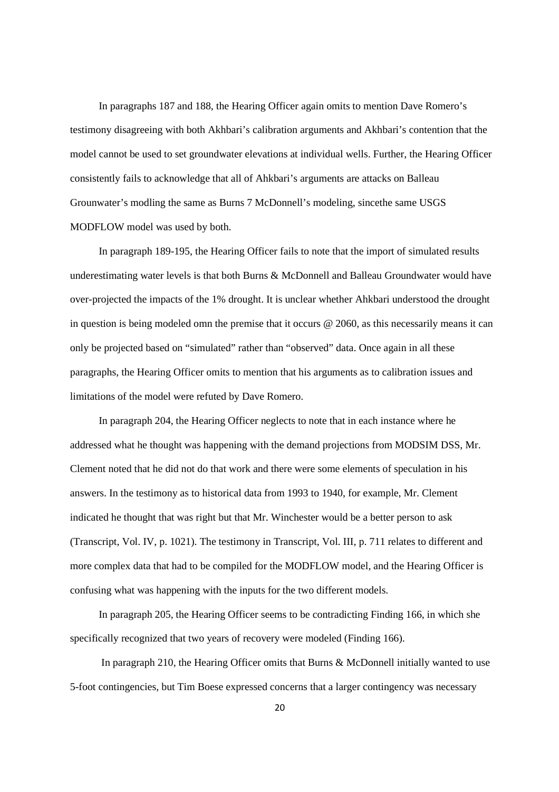In paragraphs 187 and 188, the Hearing Officer again omits to mention Dave Romero's testimony disagreeing with both Akhbari's calibration arguments and Akhbari's contention that the model cannot be used to set groundwater elevations at individual wells. Further, the Hearing Officer consistently fails to acknowledge that all of Ahkbari's arguments are attacks on Balleau Grounwater's modling the same as Burns 7 McDonnell's modeling, sincethe same USGS MODFLOW model was used by both.

In paragraph 189-195, the Hearing Officer fails to note that the import of simulated results underestimating water levels is that both Burns & McDonnell and Balleau Groundwater would have over-projected the impacts of the 1% drought. It is unclear whether Ahkbari understood the drought in question is being modeled omn the premise that it occurs @ 2060, as this necessarily means it can only be projected based on "simulated" rather than "observed" data. Once again in all these paragraphs, the Hearing Officer omits to mention that his arguments as to calibration issues and limitations of the model were refuted by Dave Romero.

In paragraph 204, the Hearing Officer neglects to note that in each instance where he addressed what he thought was happening with the demand projections from MODSIM DSS, Mr. Clement noted that he did not do that work and there were some elements of speculation in his answers. In the testimony as to historical data from 1993 to 1940, for example, Mr. Clement indicated he thought that was right but that Mr. Winchester would be a better person to ask (Transcript, Vol. IV, p. 1021). The testimony in Transcript, Vol. III, p. 711 relates to different and more complex data that had to be compiled for the MODFLOW model, and the Hearing Officer is confusing what was happening with the inputs for the two different models.

In paragraph 205, the Hearing Officer seems to be contradicting Finding 166, in which she specifically recognized that two years of recovery were modeled (Finding 166).

In paragraph 210, the Hearing Officer omits that Burns & McDonnell initially wanted to use 5-foot contingencies, but Tim Boese expressed concerns that a larger contingency was necessary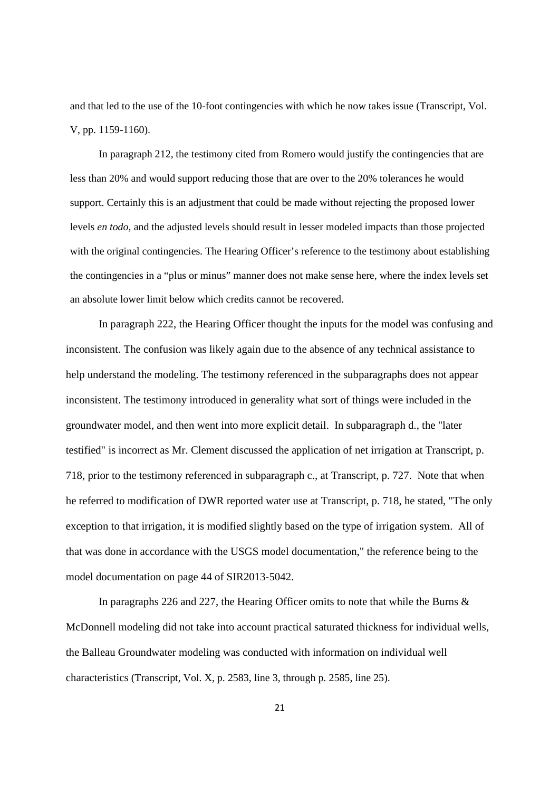and that led to the use of the 10-foot contingencies with which he now takes issue (Transcript, Vol. V, pp. 1159-1160).

In paragraph 212, the testimony cited from Romero would justify the contingencies that are less than 20% and would support reducing those that are over to the 20% tolerances he would support. Certainly this is an adjustment that could be made without rejecting the proposed lower levels *en todo,* and the adjusted levels should result in lesser modeled impacts than those projected with the original contingencies. The Hearing Officer's reference to the testimony about establishing the contingencies in a "plus or minus" manner does not make sense here, where the index levels set an absolute lower limit below which credits cannot be recovered.

In paragraph 222, the Hearing Officer thought the inputs for the model was confusing and inconsistent. The confusion was likely again due to the absence of any technical assistance to help understand the modeling. The testimony referenced in the subparagraphs does not appear inconsistent. The testimony introduced in generality what sort of things were included in the groundwater model, and then went into more explicit detail. In subparagraph d., the "later testified" is incorrect as Mr. Clement discussed the application of net irrigation at Transcript, p. 718, prior to the testimony referenced in subparagraph c., at Transcript, p. 727. Note that when he referred to modification of DWR reported water use at Transcript, p. 718, he stated, "The only exception to that irrigation, it is modified slightly based on the type of irrigation system. All of that was done in accordance with the USGS model documentation," the reference being to the model documentation on page 44 of SIR2013-5042.

In paragraphs 226 and 227, the Hearing Officer omits to note that while the Burns & McDonnell modeling did not take into account practical saturated thickness for individual wells, the Balleau Groundwater modeling was conducted with information on individual well characteristics (Transcript, Vol. X, p. 2583, line 3, through p. 2585, line 25).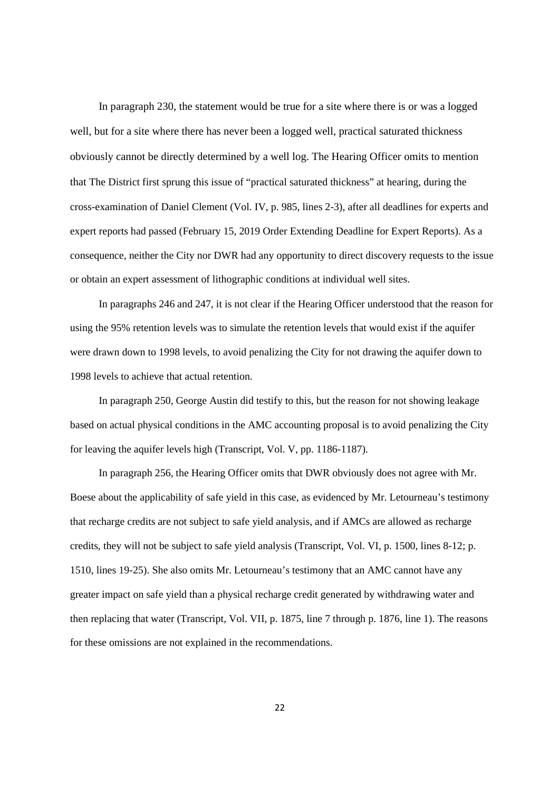In paragraph 230, the statement would be true for a site where there is or was a logged well, but for a site where there has never been a logged well, practical saturated thickness obviously cannot be directly determined by a well log. The Hearing Officer omits to mention that The District first sprung this issue of "practical saturated thickness" at hearing, during the cross-examination of Daniel Clement (Vol. IV, p. 985, lines 2-3), after all deadlines for experts and expert reports had passed (February 15, 2019 Order Extending Deadline for Expert Reports). As a consequence, neither the City nor DWR had any opportunity to direct discovery requests to the issue or obtain an expert assessment of lithographic conditions at individual well sites.

In paragraphs 246 and 247, it is not clear if the Hearing Officer understood that the reason for using the 95% retention levels was to simulate the retention levels that would exist if the aquifer were drawn down to 1998 levels, to avoid penalizing the City for not drawing the aquifer down to 1998 levels to achieve that actual retention.

In paragraph 250, George Austin did testify to this, but the reason for not showing leakage based on actual physical conditions in the AMC accounting proposal is to avoid penalizing the City for leaving the aquifer levels high (Transcript, Vol. V, pp. 1186-1187).

In paragraph 256, the Hearing Officer omits that DWR obviously does not agree with Mr. Boese about the applicability of safe yield in this case, as evidenced by Mr. Letourneau's testimony that recharge credits are not subject to safe yield analysis, and if AMCs are allowed as recharge credits, they will not be subject to safe yield analysis (Transcript, Vol. VI, p. 1500, lines 8-12; p. 1510, lines 19-25). She also omits Mr. Letourneau's testimony that an AMC cannot have any greater impact on safe yield than a physical recharge credit generated by withdrawing water and then replacing that water (Transcript, Vol. VII, p. 1875, line 7 through p. 1876, line 1). The reasons for these omissions are not explained in the recommendations.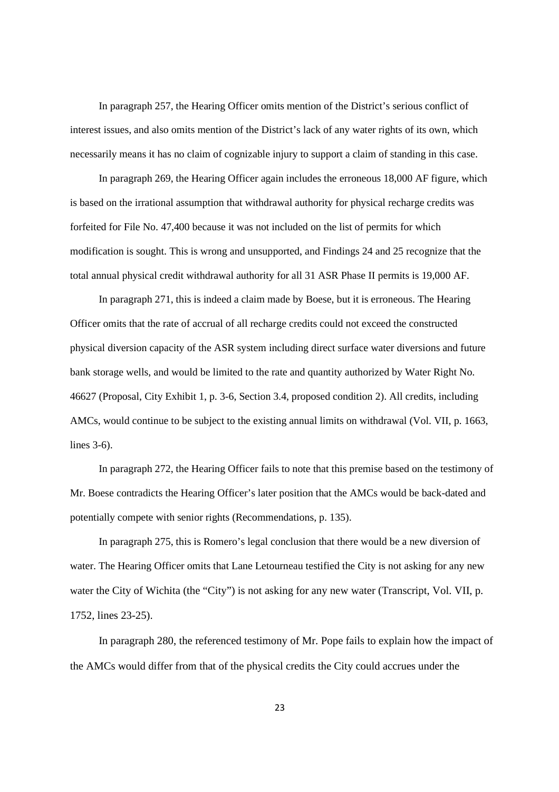In paragraph 257, the Hearing Officer omits mention of the District's serious conflict of interest issues, and also omits mention of the District's lack of any water rights of its own, which necessarily means it has no claim of cognizable injury to support a claim of standing in this case.

In paragraph 269, the Hearing Officer again includes the erroneous 18,000 AF figure, which is based on the irrational assumption that withdrawal authority for physical recharge credits was forfeited for File No. 47,400 because it was not included on the list of permits for which modification is sought. This is wrong and unsupported, and Findings 24 and 25 recognize that the total annual physical credit withdrawal authority for all 31 ASR Phase II permits is 19,000 AF.

In paragraph 271, this is indeed a claim made by Boese, but it is erroneous. The Hearing Officer omits that the rate of accrual of all recharge credits could not exceed the constructed physical diversion capacity of the ASR system including direct surface water diversions and future bank storage wells, and would be limited to the rate and quantity authorized by Water Right No. 46627 (Proposal, City Exhibit 1, p. 3-6, Section 3.4, proposed condition 2). All credits, including AMCs, would continue to be subject to the existing annual limits on withdrawal (Vol. VII, p. 1663, lines 3-6).

In paragraph 272, the Hearing Officer fails to note that this premise based on the testimony of Mr. Boese contradicts the Hearing Officer's later position that the AMCs would be back-dated and potentially compete with senior rights (Recommendations, p. 135).

In paragraph 275, this is Romero's legal conclusion that there would be a new diversion of water. The Hearing Officer omits that Lane Letourneau testified the City is not asking for any new water the City of Wichita (the "City") is not asking for any new water (Transcript, Vol. VII, p. 1752, lines 23-25).

In paragraph 280, the referenced testimony of Mr. Pope fails to explain how the impact of the AMCs would differ from that of the physical credits the City could accrues under the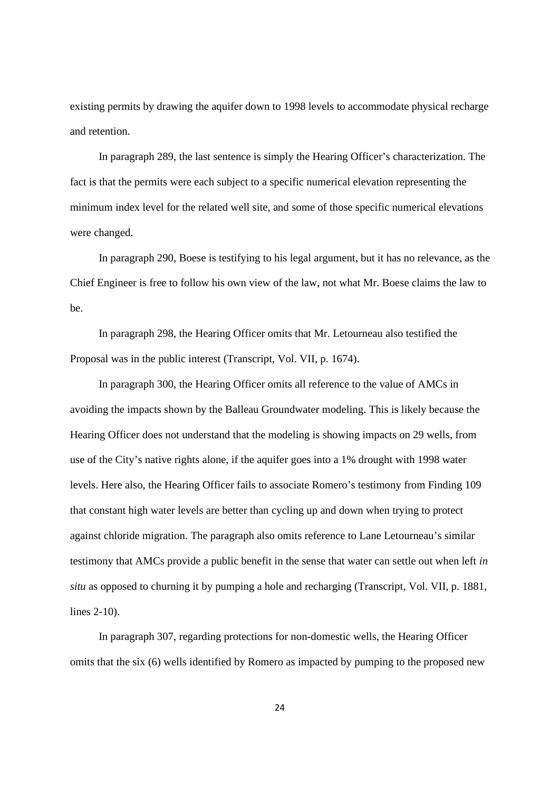existing permits by drawing the aquifer down to 1998 levels to accommodate physical recharge and retention.

In paragraph 289, the last sentence is simply the Hearing Officer's characterization. The fact is that the permits were each subject to a specific numerical elevation representing the minimum index level for the related well site, and some of those specific numerical elevations were changed.

In paragraph 290, Boese is testifying to his legal argument, but it has no relevance, as the Chief Engineer is free to follow his own view of the law, not what Mr. Boese claims the law to be.

In paragraph 298, the Hearing Officer omits that Mr. Letourneau also testified the Proposal was in the public interest (Transcript, Vol. VII, p. 1674).

In paragraph 300, the Hearing Officer omits all reference to the value of AMCs in avoiding the impacts shown by the Balleau Groundwater modeling. This is likely because the Hearing Officer does not understand that the modeling is showing impacts on 29 wells, from use of the City's native rights alone, if the aquifer goes into a 1% drought with 1998 water levels. Here also, the Hearing Officer fails to associate Romero's testimony from Finding 109 that constant high water levels are better than cycling up and down when trying to protect against chloride migration. The paragraph also omits reference to Lane Letourneau's similar testimony that AMCs provide a public benefit in the sense that water can settle out when left *in situ* as opposed to churning it by pumping a hole and recharging (Transcript, Vol. VII, p. 1881, lines 2-10).

In paragraph 307, regarding protections for non-domestic wells, the Hearing Officer omits that the six (6) wells identified by Romero as impacted by pumping to the proposed new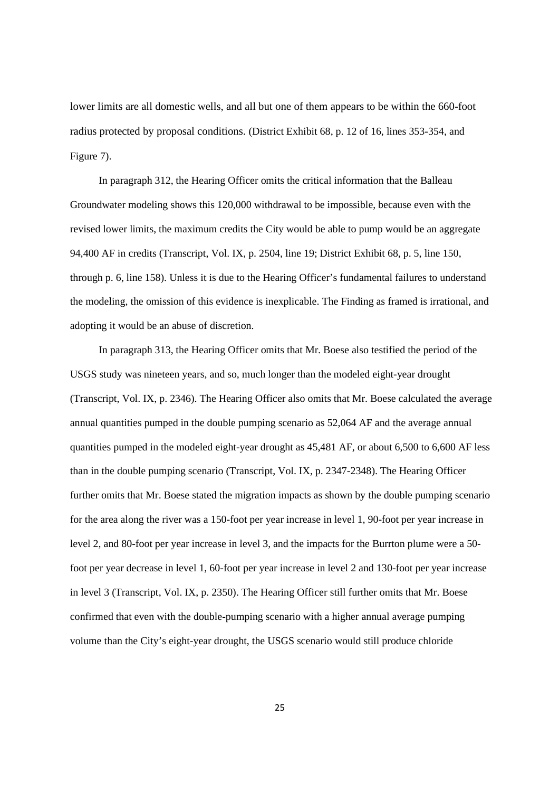lower limits are all domestic wells, and all but one of them appears to be within the 660-foot radius protected by proposal conditions. (District Exhibit 68, p. 12 of 16, lines 353-354, and Figure 7).

In paragraph 312, the Hearing Officer omits the critical information that the Balleau Groundwater modeling shows this 120,000 withdrawal to be impossible, because even with the revised lower limits, the maximum credits the City would be able to pump would be an aggregate 94,400 AF in credits (Transcript, Vol. IX, p. 2504, line 19; District Exhibit 68, p. 5, line 150, through p. 6, line 158). Unless it is due to the Hearing Officer's fundamental failures to understand the modeling, the omission of this evidence is inexplicable. The Finding as framed is irrational, and adopting it would be an abuse of discretion.

In paragraph 313, the Hearing Officer omits that Mr. Boese also testified the period of the USGS study was nineteen years, and so, much longer than the modeled eight-year drought (Transcript, Vol. IX, p. 2346). The Hearing Officer also omits that Mr. Boese calculated the average annual quantities pumped in the double pumping scenario as 52,064 AF and the average annual quantities pumped in the modeled eight-year drought as 45,481 AF, or about 6,500 to 6,600 AF less than in the double pumping scenario (Transcript, Vol. IX, p. 2347-2348). The Hearing Officer further omits that Mr. Boese stated the migration impacts as shown by the double pumping scenario for the area along the river was a 150-foot per year increase in level 1, 90-foot per year increase in level 2, and 80-foot per year increase in level 3, and the impacts for the Burrton plume were a 50 foot per year decrease in level 1, 60-foot per year increase in level 2 and 130-foot per year increase in level 3 (Transcript, Vol. IX, p. 2350). The Hearing Officer still further omits that Mr. Boese confirmed that even with the double-pumping scenario with a higher annual average pumping volume than the City's eight-year drought, the USGS scenario would still produce chloride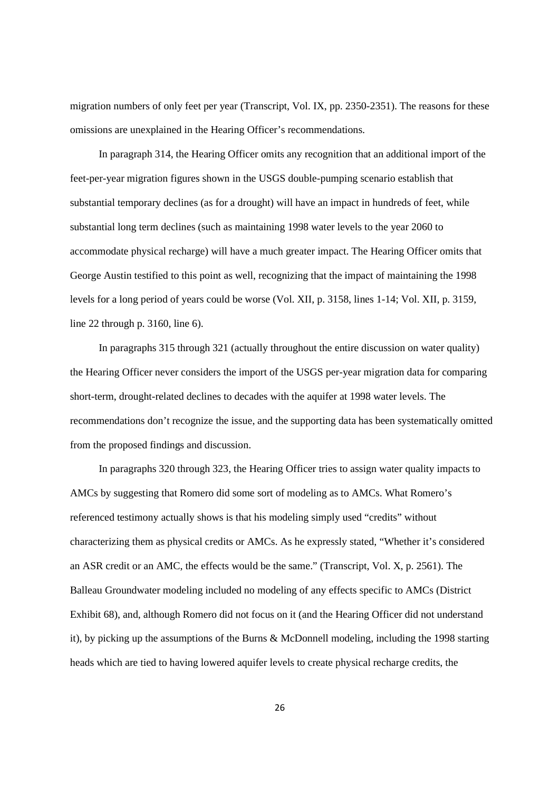migration numbers of only feet per year (Transcript, Vol. IX, pp. 2350-2351). The reasons for these omissions are unexplained in the Hearing Officer's recommendations.

In paragraph 314, the Hearing Officer omits any recognition that an additional import of the feet-per-year migration figures shown in the USGS double-pumping scenario establish that substantial temporary declines (as for a drought) will have an impact in hundreds of feet, while substantial long term declines (such as maintaining 1998 water levels to the year 2060 to accommodate physical recharge) will have a much greater impact. The Hearing Officer omits that George Austin testified to this point as well, recognizing that the impact of maintaining the 1998 levels for a long period of years could be worse (Vol. XII, p. 3158, lines 1-14; Vol. XII, p. 3159, line 22 through p. 3160, line 6).

In paragraphs 315 through 321 (actually throughout the entire discussion on water quality) the Hearing Officer never considers the import of the USGS per-year migration data for comparing short-term, drought-related declines to decades with the aquifer at 1998 water levels. The recommendations don't recognize the issue, and the supporting data has been systematically omitted from the proposed findings and discussion.

In paragraphs 320 through 323, the Hearing Officer tries to assign water quality impacts to AMCs by suggesting that Romero did some sort of modeling as to AMCs. What Romero's referenced testimony actually shows is that his modeling simply used "credits" without characterizing them as physical credits or AMCs. As he expressly stated, "Whether it's considered an ASR credit or an AMC, the effects would be the same." (Transcript, Vol. X, p. 2561). The Balleau Groundwater modeling included no modeling of any effects specific to AMCs (District Exhibit 68), and, although Romero did not focus on it (and the Hearing Officer did not understand it), by picking up the assumptions of the Burns & McDonnell modeling, including the 1998 starting heads which are tied to having lowered aquifer levels to create physical recharge credits, the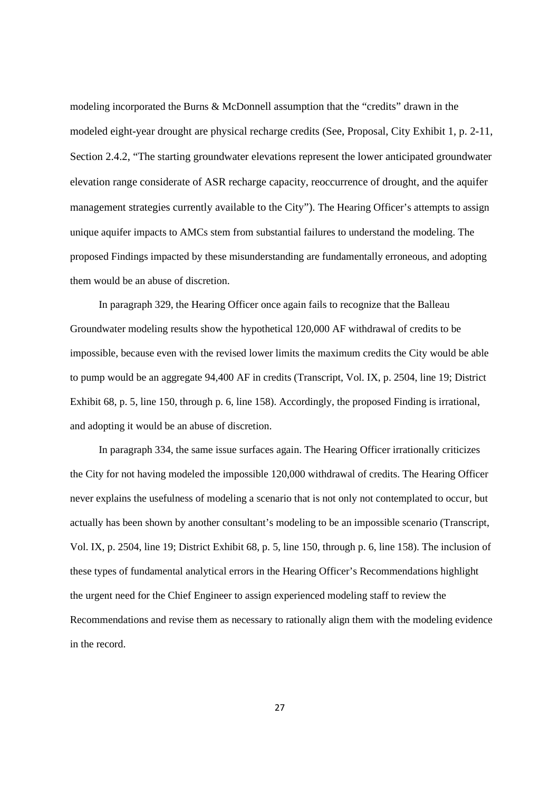modeling incorporated the Burns & McDonnell assumption that the "credits" drawn in the modeled eight-year drought are physical recharge credits (See, Proposal, City Exhibit 1, p. 2-11, Section 2.4.2, "The starting groundwater elevations represent the lower anticipated groundwater elevation range considerate of ASR recharge capacity, reoccurrence of drought, and the aquifer management strategies currently available to the City"). The Hearing Officer's attempts to assign unique aquifer impacts to AMCs stem from substantial failures to understand the modeling. The proposed Findings impacted by these misunderstanding are fundamentally erroneous, and adopting them would be an abuse of discretion.

In paragraph 329, the Hearing Officer once again fails to recognize that the Balleau Groundwater modeling results show the hypothetical 120,000 AF withdrawal of credits to be impossible, because even with the revised lower limits the maximum credits the City would be able to pump would be an aggregate 94,400 AF in credits (Transcript, Vol. IX, p. 2504, line 19; District Exhibit 68, p. 5, line 150, through p. 6, line 158). Accordingly, the proposed Finding is irrational, and adopting it would be an abuse of discretion.

In paragraph 334, the same issue surfaces again. The Hearing Officer irrationally criticizes the City for not having modeled the impossible 120,000 withdrawal of credits. The Hearing Officer never explains the usefulness of modeling a scenario that is not only not contemplated to occur, but actually has been shown by another consultant's modeling to be an impossible scenario (Transcript, Vol. IX, p. 2504, line 19; District Exhibit 68, p. 5, line 150, through p. 6, line 158). The inclusion of these types of fundamental analytical errors in the Hearing Officer's Recommendations highlight the urgent need for the Chief Engineer to assign experienced modeling staff to review the Recommendations and revise them as necessary to rationally align them with the modeling evidence in the record.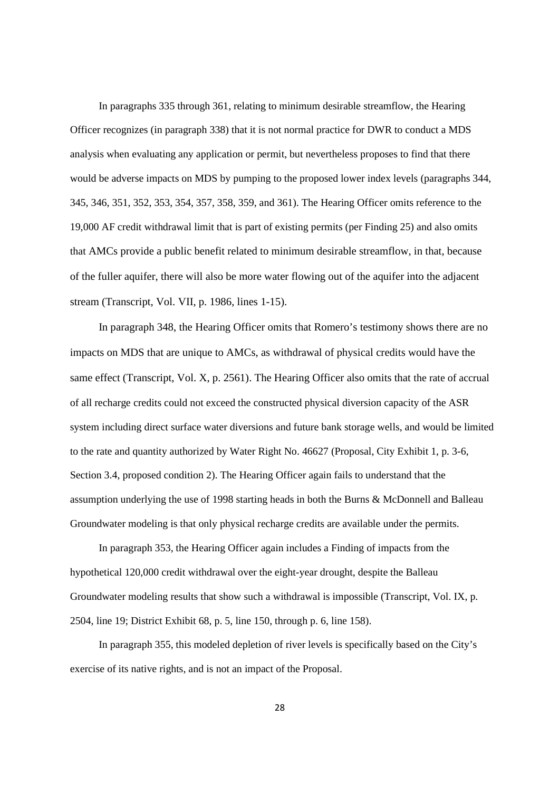In paragraphs 335 through 361, relating to minimum desirable streamflow, the Hearing Officer recognizes (in paragraph 338) that it is not normal practice for DWR to conduct a MDS analysis when evaluating any application or permit, but nevertheless proposes to find that there would be adverse impacts on MDS by pumping to the proposed lower index levels (paragraphs 344, 345, 346, 351, 352, 353, 354, 357, 358, 359, and 361). The Hearing Officer omits reference to the 19,000 AF credit withdrawal limit that is part of existing permits (per Finding 25) and also omits that AMCs provide a public benefit related to minimum desirable streamflow, in that, because of the fuller aquifer, there will also be more water flowing out of the aquifer into the adjacent stream (Transcript, Vol. VII, p. 1986, lines 1-15).

In paragraph 348, the Hearing Officer omits that Romero's testimony shows there are no impacts on MDS that are unique to AMCs, as withdrawal of physical credits would have the same effect (Transcript, Vol. X, p. 2561). The Hearing Officer also omits that the rate of accrual of all recharge credits could not exceed the constructed physical diversion capacity of the ASR system including direct surface water diversions and future bank storage wells, and would be limited to the rate and quantity authorized by Water Right No. 46627 (Proposal, City Exhibit 1, p. 3-6, Section 3.4, proposed condition 2). The Hearing Officer again fails to understand that the assumption underlying the use of 1998 starting heads in both the Burns & McDonnell and Balleau Groundwater modeling is that only physical recharge credits are available under the permits.

In paragraph 353, the Hearing Officer again includes a Finding of impacts from the hypothetical 120,000 credit withdrawal over the eight-year drought, despite the Balleau Groundwater modeling results that show such a withdrawal is impossible (Transcript, Vol. IX, p. 2504, line 19; District Exhibit 68, p. 5, line 150, through p. 6, line 158).

In paragraph 355, this modeled depletion of river levels is specifically based on the City's exercise of its native rights, and is not an impact of the Proposal.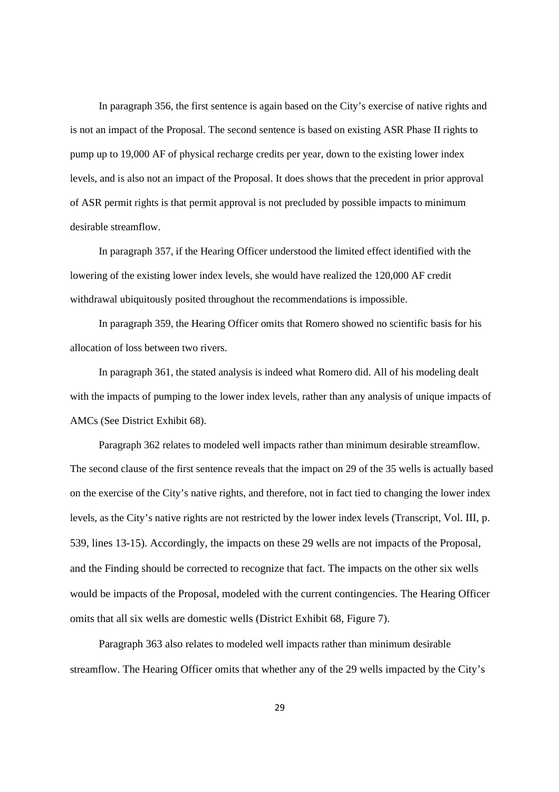In paragraph 356, the first sentence is again based on the City's exercise of native rights and is not an impact of the Proposal. The second sentence is based on existing ASR Phase II rights to pump up to 19,000 AF of physical recharge credits per year, down to the existing lower index levels, and is also not an impact of the Proposal. It does shows that the precedent in prior approval of ASR permit rights is that permit approval is not precluded by possible impacts to minimum desirable streamflow.

In paragraph 357, if the Hearing Officer understood the limited effect identified with the lowering of the existing lower index levels, she would have realized the 120,000 AF credit withdrawal ubiquitously posited throughout the recommendations is impossible.

In paragraph 359, the Hearing Officer omits that Romero showed no scientific basis for his allocation of loss between two rivers.

In paragraph 361, the stated analysis is indeed what Romero did. All of his modeling dealt with the impacts of pumping to the lower index levels, rather than any analysis of unique impacts of AMCs (See District Exhibit 68).

Paragraph 362 relates to modeled well impacts rather than minimum desirable streamflow. The second clause of the first sentence reveals that the impact on 29 of the 35 wells is actually based on the exercise of the City's native rights, and therefore, not in fact tied to changing the lower index levels, as the City's native rights are not restricted by the lower index levels (Transcript, Vol. III, p. 539, lines 13-15). Accordingly, the impacts on these 29 wells are not impacts of the Proposal, and the Finding should be corrected to recognize that fact. The impacts on the other six wells would be impacts of the Proposal, modeled with the current contingencies. The Hearing Officer omits that all six wells are domestic wells (District Exhibit 68, Figure 7).

Paragraph 363 also relates to modeled well impacts rather than minimum desirable streamflow. The Hearing Officer omits that whether any of the 29 wells impacted by the City's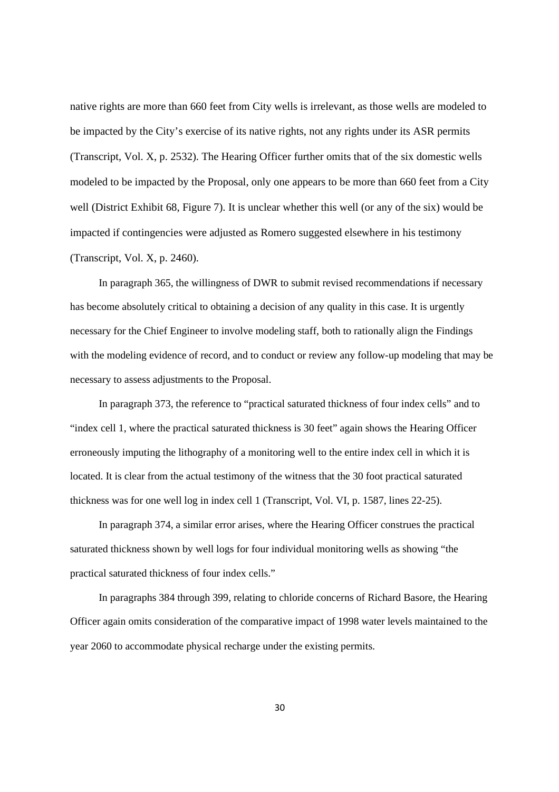native rights are more than 660 feet from City wells is irrelevant, as those wells are modeled to be impacted by the City's exercise of its native rights, not any rights under its ASR permits (Transcript, Vol. X, p. 2532). The Hearing Officer further omits that of the six domestic wells modeled to be impacted by the Proposal, only one appears to be more than 660 feet from a City well (District Exhibit 68, Figure 7). It is unclear whether this well (or any of the six) would be impacted if contingencies were adjusted as Romero suggested elsewhere in his testimony (Transcript, Vol. X, p. 2460).

In paragraph 365, the willingness of DWR to submit revised recommendations if necessary has become absolutely critical to obtaining a decision of any quality in this case. It is urgently necessary for the Chief Engineer to involve modeling staff, both to rationally align the Findings with the modeling evidence of record, and to conduct or review any follow-up modeling that may be necessary to assess adjustments to the Proposal.

In paragraph 373, the reference to "practical saturated thickness of four index cells" and to "index cell 1, where the practical saturated thickness is 30 feet" again shows the Hearing Officer erroneously imputing the lithography of a monitoring well to the entire index cell in which it is located. It is clear from the actual testimony of the witness that the 30 foot practical saturated thickness was for one well log in index cell 1 (Transcript, Vol. VI, p. 1587, lines 22-25).

In paragraph 374, a similar error arises, where the Hearing Officer construes the practical saturated thickness shown by well logs for four individual monitoring wells as showing "the practical saturated thickness of four index cells."

In paragraphs 384 through 399, relating to chloride concerns of Richard Basore, the Hearing Officer again omits consideration of the comparative impact of 1998 water levels maintained to the year 2060 to accommodate physical recharge under the existing permits.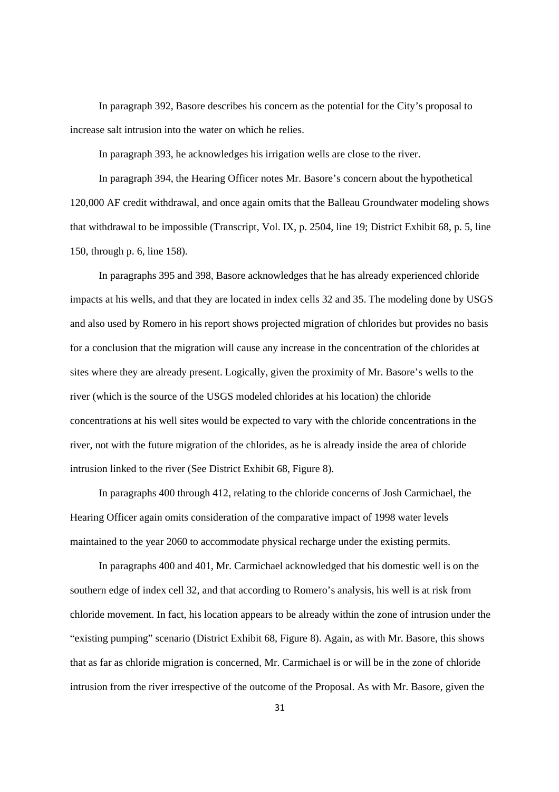In paragraph 392, Basore describes his concern as the potential for the City's proposal to increase salt intrusion into the water on which he relies.

In paragraph 393, he acknowledges his irrigation wells are close to the river.

In paragraph 394, the Hearing Officer notes Mr. Basore's concern about the hypothetical 120,000 AF credit withdrawal, and once again omits that the Balleau Groundwater modeling shows that withdrawal to be impossible (Transcript, Vol. IX, p. 2504, line 19; District Exhibit 68, p. 5, line 150, through p. 6, line 158).

In paragraphs 395 and 398, Basore acknowledges that he has already experienced chloride impacts at his wells, and that they are located in index cells 32 and 35. The modeling done by USGS and also used by Romero in his report shows projected migration of chlorides but provides no basis for a conclusion that the migration will cause any increase in the concentration of the chlorides at sites where they are already present. Logically, given the proximity of Mr. Basore's wells to the river (which is the source of the USGS modeled chlorides at his location) the chloride concentrations at his well sites would be expected to vary with the chloride concentrations in the river, not with the future migration of the chlorides, as he is already inside the area of chloride intrusion linked to the river (See District Exhibit 68, Figure 8).

In paragraphs 400 through 412, relating to the chloride concerns of Josh Carmichael, the Hearing Officer again omits consideration of the comparative impact of 1998 water levels maintained to the year 2060 to accommodate physical recharge under the existing permits.

In paragraphs 400 and 401, Mr. Carmichael acknowledged that his domestic well is on the southern edge of index cell 32, and that according to Romero's analysis, his well is at risk from chloride movement. In fact, his location appears to be already within the zone of intrusion under the "existing pumping" scenario (District Exhibit 68, Figure 8). Again, as with Mr. Basore, this shows that as far as chloride migration is concerned, Mr. Carmichael is or will be in the zone of chloride intrusion from the river irrespective of the outcome of the Proposal. As with Mr. Basore, given the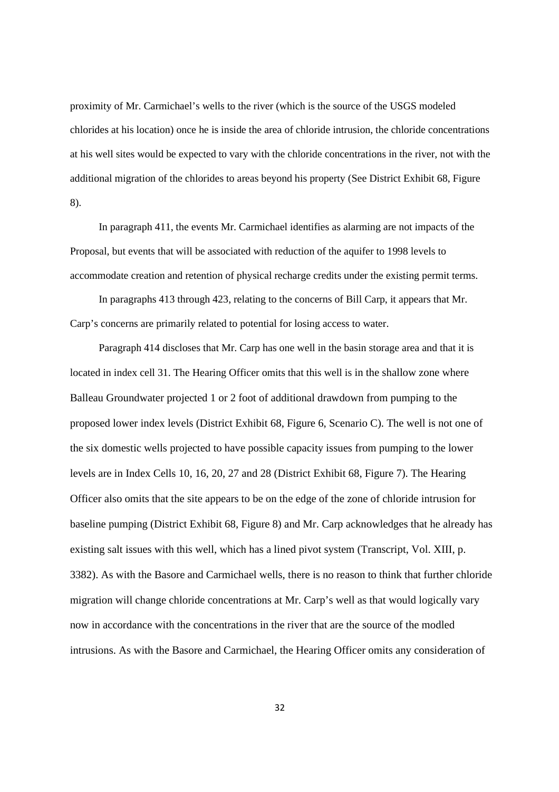proximity of Mr. Carmichael's wells to the river (which is the source of the USGS modeled chlorides at his location) once he is inside the area of chloride intrusion, the chloride concentrations at his well sites would be expected to vary with the chloride concentrations in the river, not with the additional migration of the chlorides to areas beyond his property (See District Exhibit 68, Figure 8).

In paragraph 411, the events Mr. Carmichael identifies as alarming are not impacts of the Proposal, but events that will be associated with reduction of the aquifer to 1998 levels to accommodate creation and retention of physical recharge credits under the existing permit terms.

In paragraphs 413 through 423, relating to the concerns of Bill Carp, it appears that Mr. Carp's concerns are primarily related to potential for losing access to water.

Paragraph 414 discloses that Mr. Carp has one well in the basin storage area and that it is located in index cell 31. The Hearing Officer omits that this well is in the shallow zone where Balleau Groundwater projected 1 or 2 foot of additional drawdown from pumping to the proposed lower index levels (District Exhibit 68, Figure 6, Scenario C). The well is not one of the six domestic wells projected to have possible capacity issues from pumping to the lower levels are in Index Cells 10, 16, 20, 27 and 28 (District Exhibit 68, Figure 7). The Hearing Officer also omits that the site appears to be on the edge of the zone of chloride intrusion for baseline pumping (District Exhibit 68, Figure 8) and Mr. Carp acknowledges that he already has existing salt issues with this well, which has a lined pivot system (Transcript, Vol. XIII, p. 3382). As with the Basore and Carmichael wells, there is no reason to think that further chloride migration will change chloride concentrations at Mr. Carp's well as that would logically vary now in accordance with the concentrations in the river that are the source of the modled intrusions. As with the Basore and Carmichael, the Hearing Officer omits any consideration of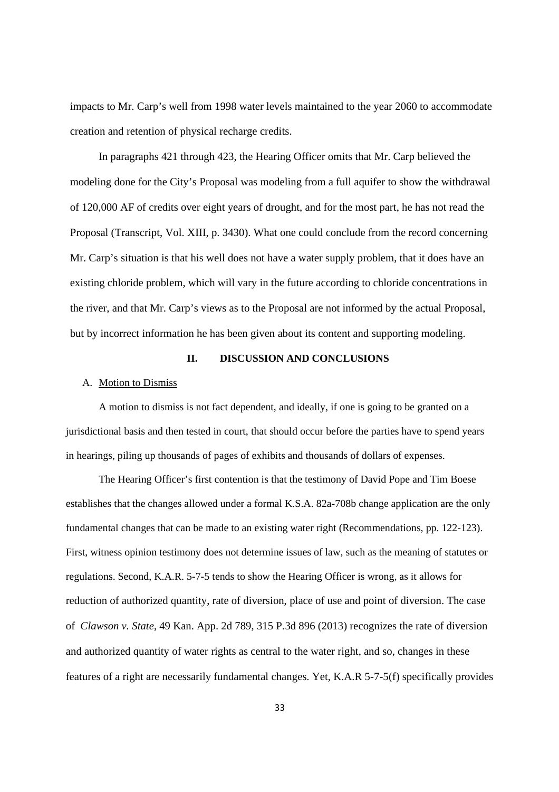impacts to Mr. Carp's well from 1998 water levels maintained to the year 2060 to accommodate creation and retention of physical recharge credits.

In paragraphs 421 through 423, the Hearing Officer omits that Mr. Carp believed the modeling done for the City's Proposal was modeling from a full aquifer to show the withdrawal of 120,000 AF of credits over eight years of drought, and for the most part, he has not read the Proposal (Transcript, Vol. XIII, p. 3430). What one could conclude from the record concerning Mr. Carp's situation is that his well does not have a water supply problem, that it does have an existing chloride problem, which will vary in the future according to chloride concentrations in the river, and that Mr. Carp's views as to the Proposal are not informed by the actual Proposal, but by incorrect information he has been given about its content and supporting modeling.

# **II. DISCUSSION AND CONCLUSIONS**

## A. Motion to Dismiss

A motion to dismiss is not fact dependent, and ideally, if one is going to be granted on a jurisdictional basis and then tested in court, that should occur before the parties have to spend years in hearings, piling up thousands of pages of exhibits and thousands of dollars of expenses.

The Hearing Officer's first contention is that the testimony of David Pope and Tim Boese establishes that the changes allowed under a formal K.S.A. 82a-708b change application are the only fundamental changes that can be made to an existing water right (Recommendations, pp. 122-123). First, witness opinion testimony does not determine issues of law, such as the meaning of statutes or regulations. Second, K.A.R. 5-7-5 tends to show the Hearing Officer is wrong, as it allows for reduction of authorized quantity, rate of diversion, place of use and point of diversion. The case of *Clawson v. State*, 49 Kan. App. 2d 789, 315 P.3d 896 (2013) recognizes the rate of diversion and authorized quantity of water rights as central to the water right, and so, changes in these features of a right are necessarily fundamental changes. Yet, K.A.R 5-7-5(f) specifically provides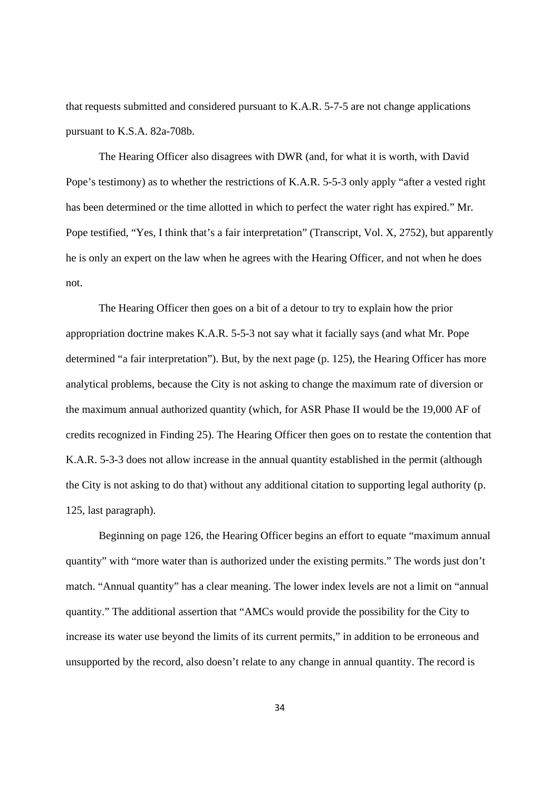that requests submitted and considered pursuant to K.A.R. 5-7-5 are not change applications pursuant to K.S.A. 82a-708b.

The Hearing Officer also disagrees with DWR (and, for what it is worth, with David Pope's testimony) as to whether the restrictions of K.A.R. 5-5-3 only apply "after a vested right has been determined or the time allotted in which to perfect the water right has expired." Mr. Pope testified, "Yes, I think that's a fair interpretation" (Transcript, Vol. X, 2752), but apparently he is only an expert on the law when he agrees with the Hearing Officer, and not when he does not.

The Hearing Officer then goes on a bit of a detour to try to explain how the prior appropriation doctrine makes K.A.R. 5-5-3 not say what it facially says (and what Mr. Pope determined "a fair interpretation"). But, by the next page (p. 125), the Hearing Officer has more analytical problems, because the City is not asking to change the maximum rate of diversion or the maximum annual authorized quantity (which, for ASR Phase II would be the 19,000 AF of credits recognized in Finding 25). The Hearing Officer then goes on to restate the contention that K.A.R. 5-3-3 does not allow increase in the annual quantity established in the permit (although the City is not asking to do that) without any additional citation to supporting legal authority (p. 125, last paragraph).

Beginning on page 126, the Hearing Officer begins an effort to equate "maximum annual quantity" with "more water than is authorized under the existing permits." The words just don't match. "Annual quantity" has a clear meaning. The lower index levels are not a limit on "annual quantity." The additional assertion that "AMCs would provide the possibility for the City to increase its water use beyond the limits of its current permits," in addition to be erroneous and unsupported by the record, also doesn't relate to any change in annual quantity. The record is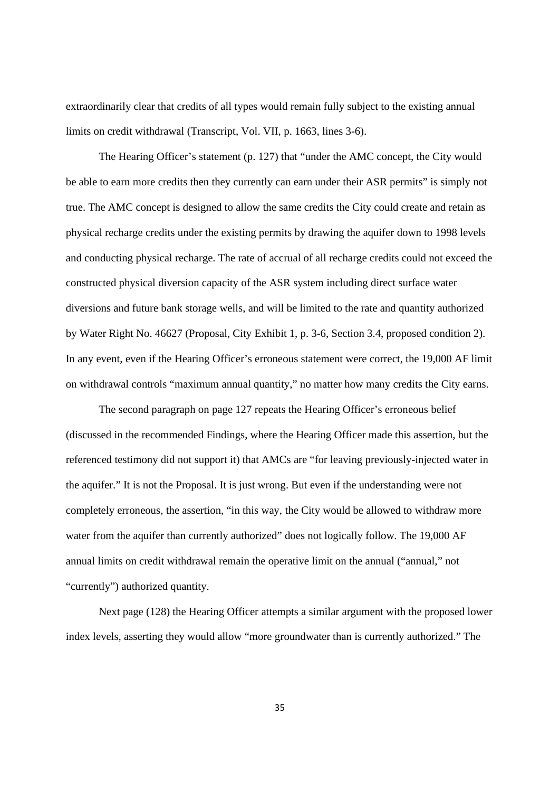extraordinarily clear that credits of all types would remain fully subject to the existing annual limits on credit withdrawal (Transcript, Vol. VII, p. 1663, lines 3-6).

The Hearing Officer's statement (p. 127) that "under the AMC concept, the City would be able to earn more credits then they currently can earn under their ASR permits" is simply not true. The AMC concept is designed to allow the same credits the City could create and retain as physical recharge credits under the existing permits by drawing the aquifer down to 1998 levels and conducting physical recharge. The rate of accrual of all recharge credits could not exceed the constructed physical diversion capacity of the ASR system including direct surface water diversions and future bank storage wells, and will be limited to the rate and quantity authorized by Water Right No. 46627 (Proposal, City Exhibit 1, p. 3-6, Section 3.4, proposed condition 2). In any event, even if the Hearing Officer's erroneous statement were correct, the 19,000 AF limit on withdrawal controls "maximum annual quantity," no matter how many credits the City earns.

The second paragraph on page 127 repeats the Hearing Officer's erroneous belief (discussed in the recommended Findings, where the Hearing Officer made this assertion, but the referenced testimony did not support it) that AMCs are "for leaving previously-injected water in the aquifer." It is not the Proposal. It is just wrong. But even if the understanding were not completely erroneous, the assertion, "in this way, the City would be allowed to withdraw more water from the aquifer than currently authorized" does not logically follow. The 19,000 AF annual limits on credit withdrawal remain the operative limit on the annual ("annual," not "currently") authorized quantity.

Next page (128) the Hearing Officer attempts a similar argument with the proposed lower index levels, asserting they would allow "more groundwater than is currently authorized." The

35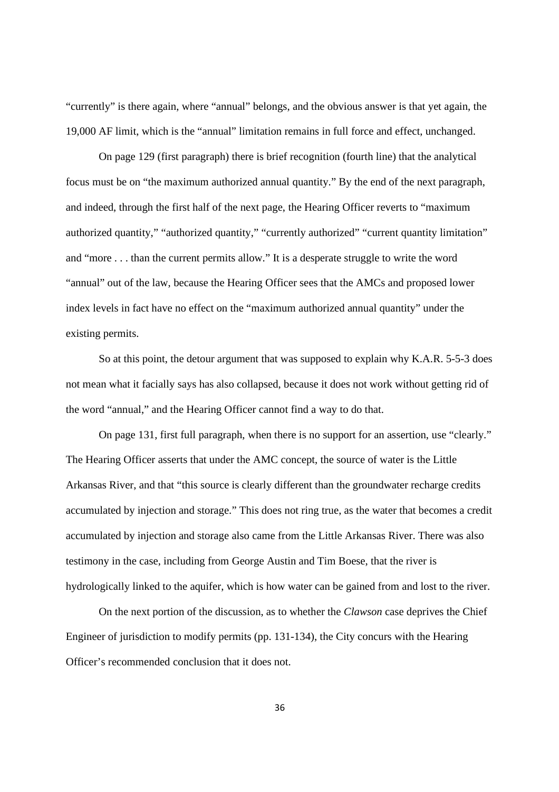"currently" is there again, where "annual" belongs, and the obvious answer is that yet again, the 19,000 AF limit, which is the "annual" limitation remains in full force and effect, unchanged.

On page 129 (first paragraph) there is brief recognition (fourth line) that the analytical focus must be on "the maximum authorized annual quantity." By the end of the next paragraph, and indeed, through the first half of the next page, the Hearing Officer reverts to "maximum authorized quantity," "authorized quantity," "currently authorized" "current quantity limitation" and "more . . . than the current permits allow." It is a desperate struggle to write the word "annual" out of the law, because the Hearing Officer sees that the AMCs and proposed lower index levels in fact have no effect on the "maximum authorized annual quantity" under the existing permits.

So at this point, the detour argument that was supposed to explain why K.A.R. 5-5-3 does not mean what it facially says has also collapsed, because it does not work without getting rid of the word "annual," and the Hearing Officer cannot find a way to do that.

On page 131, first full paragraph, when there is no support for an assertion, use "clearly." The Hearing Officer asserts that under the AMC concept, the source of water is the Little Arkansas River, and that "this source is clearly different than the groundwater recharge credits accumulated by injection and storage." This does not ring true, as the water that becomes a credit accumulated by injection and storage also came from the Little Arkansas River. There was also testimony in the case, including from George Austin and Tim Boese, that the river is hydrologically linked to the aquifer, which is how water can be gained from and lost to the river.

On the next portion of the discussion, as to whether the *Clawson* case deprives the Chief Engineer of jurisdiction to modify permits (pp. 131-134), the City concurs with the Hearing Officer's recommended conclusion that it does not.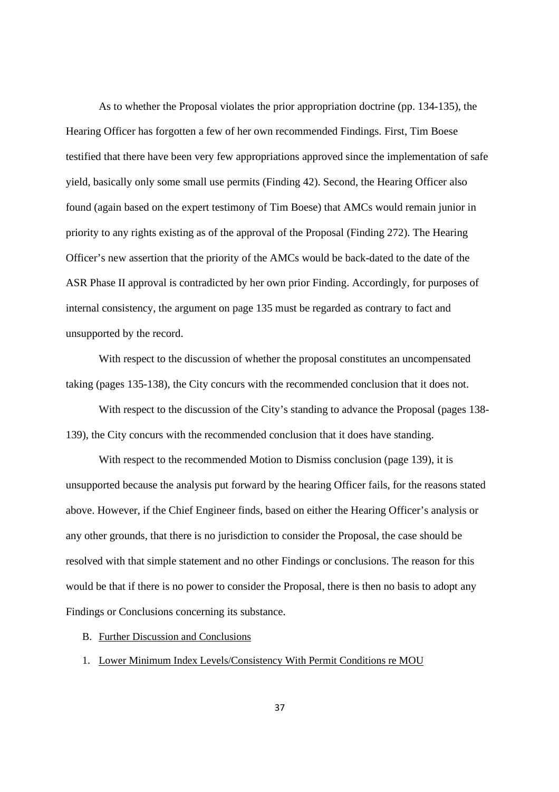As to whether the Proposal violates the prior appropriation doctrine (pp. 134-135), the Hearing Officer has forgotten a few of her own recommended Findings. First, Tim Boese testified that there have been very few appropriations approved since the implementation of safe yield, basically only some small use permits (Finding 42). Second, the Hearing Officer also found (again based on the expert testimony of Tim Boese) that AMCs would remain junior in priority to any rights existing as of the approval of the Proposal (Finding 272). The Hearing Officer's new assertion that the priority of the AMCs would be back-dated to the date of the ASR Phase II approval is contradicted by her own prior Finding. Accordingly, for purposes of internal consistency, the argument on page 135 must be regarded as contrary to fact and unsupported by the record.

With respect to the discussion of whether the proposal constitutes an uncompensated taking (pages 135-138), the City concurs with the recommended conclusion that it does not.

With respect to the discussion of the City's standing to advance the Proposal (pages 138- 139), the City concurs with the recommended conclusion that it does have standing.

With respect to the recommended Motion to Dismiss conclusion (page 139), it is unsupported because the analysis put forward by the hearing Officer fails, for the reasons stated above. However, if the Chief Engineer finds, based on either the Hearing Officer's analysis or any other grounds, that there is no jurisdiction to consider the Proposal, the case should be resolved with that simple statement and no other Findings or conclusions. The reason for this would be that if there is no power to consider the Proposal, there is then no basis to adopt any Findings or Conclusions concerning its substance.

B. Further Discussion and Conclusions

1. Lower Minimum Index Levels/Consistency With Permit Conditions re MOU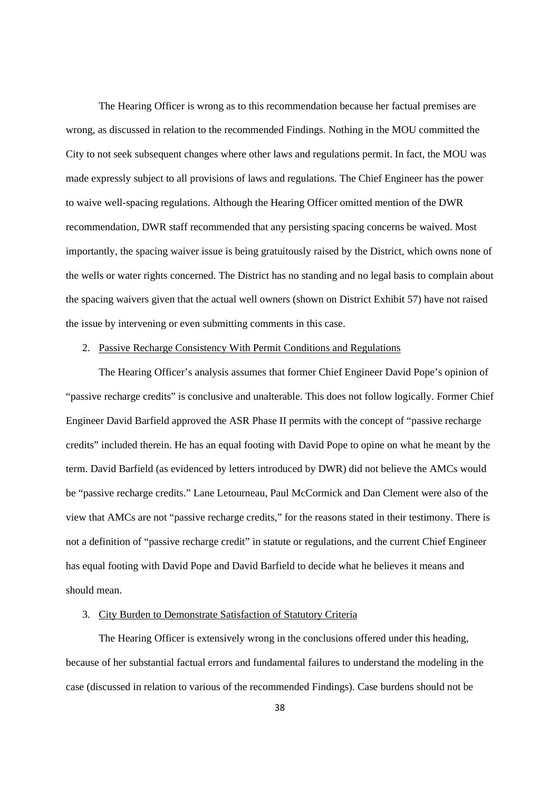The Hearing Officer is wrong as to this recommendation because her factual premises are wrong, as discussed in relation to the recommended Findings. Nothing in the MOU committed the City to not seek subsequent changes where other laws and regulations permit. In fact, the MOU was made expressly subject to all provisions of laws and regulations. The Chief Engineer has the power to waive well-spacing regulations. Although the Hearing Officer omitted mention of the DWR recommendation, DWR staff recommended that any persisting spacing concerns be waived. Most importantly, the spacing waiver issue is being gratuitously raised by the District, which owns none of the wells or water rights concerned. The District has no standing and no legal basis to complain about the spacing waivers given that the actual well owners (shown on District Exhibit 57) have not raised the issue by intervening or even submitting comments in this case.

## 2. Passive Recharge Consistency With Permit Conditions and Regulations

The Hearing Officer's analysis assumes that former Chief Engineer David Pope's opinion of "passive recharge credits" is conclusive and unalterable. This does not follow logically. Former Chief Engineer David Barfield approved the ASR Phase II permits with the concept of "passive recharge credits" included therein. He has an equal footing with David Pope to opine on what he meant by the term. David Barfield (as evidenced by letters introduced by DWR) did not believe the AMCs would be "passive recharge credits." Lane Letourneau, Paul McCormick and Dan Clement were also of the view that AMCs are not "passive recharge credits," for the reasons stated in their testimony. There is not a definition of "passive recharge credit" in statute or regulations, and the current Chief Engineer has equal footing with David Pope and David Barfield to decide what he believes it means and should mean.

#### 3. City Burden to Demonstrate Satisfaction of Statutory Criteria

The Hearing Officer is extensively wrong in the conclusions offered under this heading, because of her substantial factual errors and fundamental failures to understand the modeling in the case (discussed in relation to various of the recommended Findings). Case burdens should not be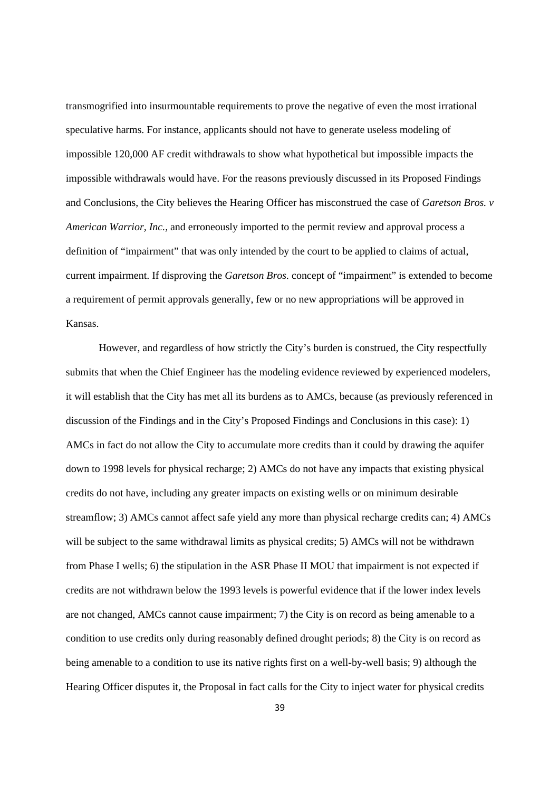transmogrified into insurmountable requirements to prove the negative of even the most irrational speculative harms. For instance, applicants should not have to generate useless modeling of impossible 120,000 AF credit withdrawals to show what hypothetical but impossible impacts the impossible withdrawals would have. For the reasons previously discussed in its Proposed Findings and Conclusions, the City believes the Hearing Officer has misconstrued the case of *Garetson Bros. v American Warrior, Inc.,* and erroneously imported to the permit review and approval process a definition of "impairment" that was only intended by the court to be applied to claims of actual, current impairment. If disproving the *Garetson Bros*. concept of "impairment" is extended to become a requirement of permit approvals generally, few or no new appropriations will be approved in Kansas.

However, and regardless of how strictly the City's burden is construed, the City respectfully submits that when the Chief Engineer has the modeling evidence reviewed by experienced modelers, it will establish that the City has met all its burdens as to AMCs, because (as previously referenced in discussion of the Findings and in the City's Proposed Findings and Conclusions in this case): 1) AMCs in fact do not allow the City to accumulate more credits than it could by drawing the aquifer down to 1998 levels for physical recharge; 2) AMCs do not have any impacts that existing physical credits do not have, including any greater impacts on existing wells or on minimum desirable streamflow; 3) AMCs cannot affect safe yield any more than physical recharge credits can; 4) AMCs will be subject to the same withdrawal limits as physical credits; 5) AMCs will not be withdrawn from Phase I wells; 6) the stipulation in the ASR Phase II MOU that impairment is not expected if credits are not withdrawn below the 1993 levels is powerful evidence that if the lower index levels are not changed, AMCs cannot cause impairment; 7) the City is on record as being amenable to a condition to use credits only during reasonably defined drought periods; 8) the City is on record as being amenable to a condition to use its native rights first on a well-by-well basis; 9) although the Hearing Officer disputes it, the Proposal in fact calls for the City to inject water for physical credits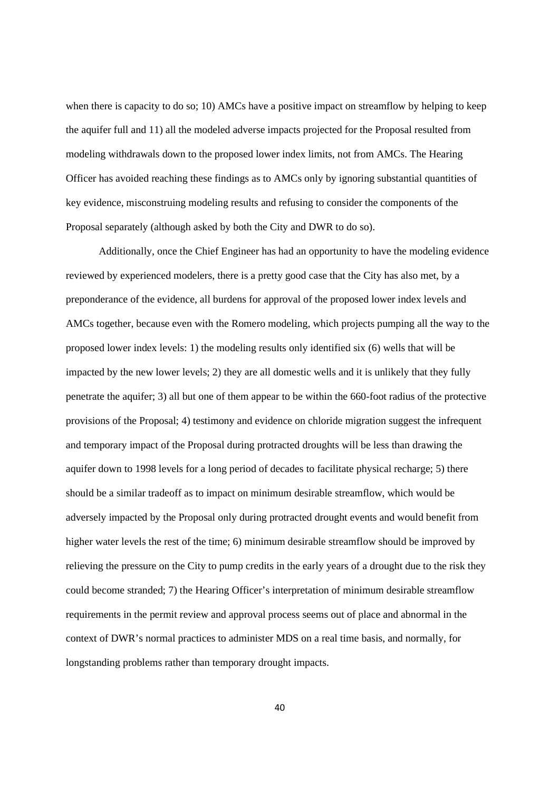when there is capacity to do so; 10) AMCs have a positive impact on streamflow by helping to keep the aquifer full and 11) all the modeled adverse impacts projected for the Proposal resulted from modeling withdrawals down to the proposed lower index limits, not from AMCs. The Hearing Officer has avoided reaching these findings as to AMCs only by ignoring substantial quantities of key evidence, misconstruing modeling results and refusing to consider the components of the Proposal separately (although asked by both the City and DWR to do so).

Additionally, once the Chief Engineer has had an opportunity to have the modeling evidence reviewed by experienced modelers, there is a pretty good case that the City has also met, by a preponderance of the evidence, all burdens for approval of the proposed lower index levels and AMCs together, because even with the Romero modeling, which projects pumping all the way to the proposed lower index levels: 1) the modeling results only identified six (6) wells that will be impacted by the new lower levels; 2) they are all domestic wells and it is unlikely that they fully penetrate the aquifer; 3) all but one of them appear to be within the 660-foot radius of the protective provisions of the Proposal; 4) testimony and evidence on chloride migration suggest the infrequent and temporary impact of the Proposal during protracted droughts will be less than drawing the aquifer down to 1998 levels for a long period of decades to facilitate physical recharge; 5) there should be a similar tradeoff as to impact on minimum desirable streamflow, which would be adversely impacted by the Proposal only during protracted drought events and would benefit from higher water levels the rest of the time; 6) minimum desirable streamflow should be improved by relieving the pressure on the City to pump credits in the early years of a drought due to the risk they could become stranded; 7) the Hearing Officer's interpretation of minimum desirable streamflow requirements in the permit review and approval process seems out of place and abnormal in the context of DWR's normal practices to administer MDS on a real time basis, and normally, for longstanding problems rather than temporary drought impacts.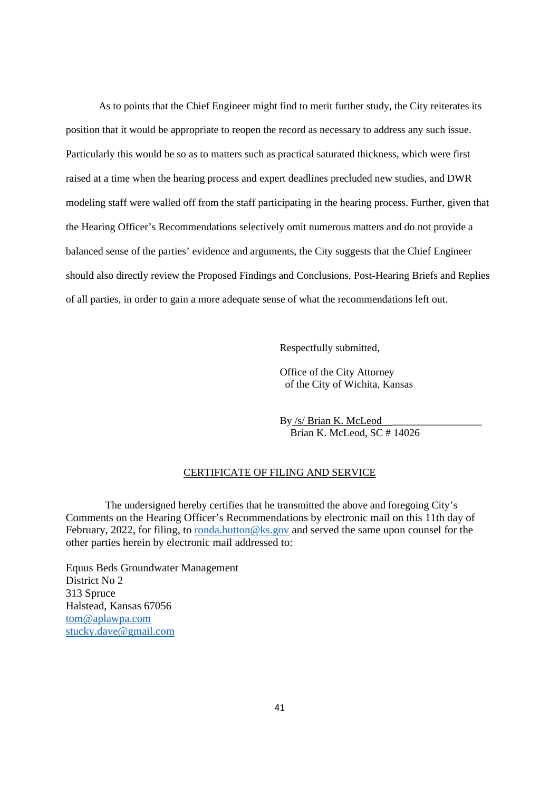As to points that the Chief Engineer might find to merit further study, the City reiterates its position that it would be appropriate to reopen the record as necessary to address any such issue. Particularly this would be so as to matters such as practical saturated thickness, which were first raised at a time when the hearing process and expert deadlines precluded new studies, and DWR modeling staff were walled off from the staff participating in the hearing process. Further, given that the Hearing Officer's Recommendations selectively omit numerous matters and do not provide a balanced sense of the parties' evidence and arguments, the City suggests that the Chief Engineer should also directly review the Proposed Findings and Conclusions, Post-Hearing Briefs and Replies of all parties, in order to gain a more adequate sense of what the recommendations left out.

Respectfully submitted,

Office of the City Attorney of the City of Wichita, Kansas

By /s/ Brian K. McLeod \_\_\_\_\_\_\_\_\_\_\_\_\_\_\_\_\_ Brian K. McLeod, SC # 14026

# CERTIFICATE OF FILING AND SERVICE

The undersigned hereby certifies that he transmitted the above and foregoing City's Comments on the Hearing Officer's Recommendations by electronic mail on this 11th day of February, 2022, for filing, to ronda.hutton@ks.gov and served the same upon counsel for the other parties herein by electronic mail addressed to:

Equus Beds Groundwater Management District No 2 313 Spruce Halstead, Kansas 67056 tom@aplawpa.com stucky.dave@gmail.com